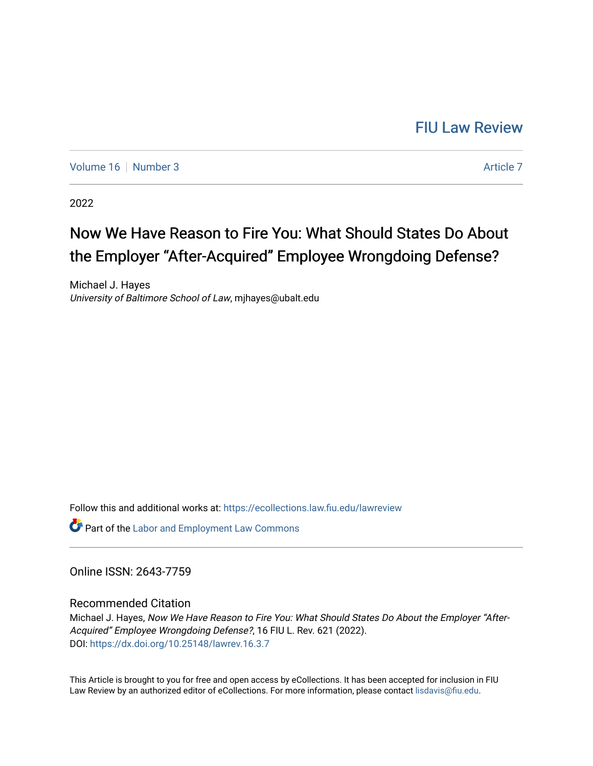# [FIU Law Review](https://ecollections.law.fiu.edu/lawreview)

[Volume 16](https://ecollections.law.fiu.edu/lawreview/vol16) [Number 3](https://ecollections.law.fiu.edu/lawreview/vol16/iss3) Article 7

2022

# Now We Have Reason to Fire You: What Should States Do About the Employer "After-Acquired" Employee Wrongdoing Defense?

Michael J. Hayes University of Baltimore School of Law, mjhayes@ubalt.edu

Follow this and additional works at: [https://ecollections.law.fiu.edu/lawreview](https://ecollections.law.fiu.edu/lawreview?utm_source=ecollections.law.fiu.edu%2Flawreview%2Fvol16%2Fiss3%2F7&utm_medium=PDF&utm_campaign=PDFCoverPages)

**Part of the [Labor and Employment Law Commons](https://network.bepress.com/hgg/discipline/909?utm_source=ecollections.law.fiu.edu%2Flawreview%2Fvol16%2Fiss3%2F7&utm_medium=PDF&utm_campaign=PDFCoverPages)** 

Online ISSN: 2643-7759

Recommended Citation

Michael J. Hayes, Now We Have Reason to Fire You: What Should States Do About the Employer "After-Acquired" Employee Wrongdoing Defense?, 16 FIU L. Rev. 621 (2022). DOI:<https://dx.doi.org/10.25148/lawrev.16.3.7>

This Article is brought to you for free and open access by eCollections. It has been accepted for inclusion in FIU Law Review by an authorized editor of eCollections. For more information, please contact [lisdavis@fiu.edu](mailto:lisdavis@fiu.edu).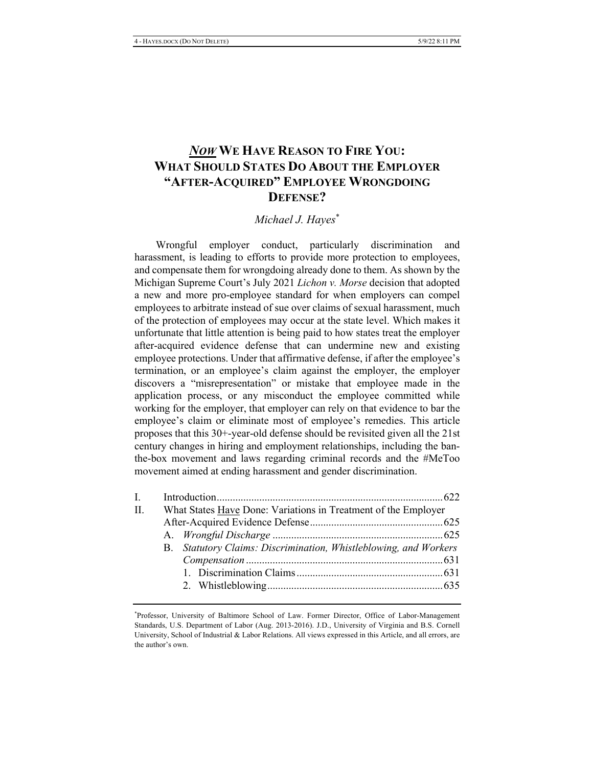## **NOW WE HAVE REASON TO FIRE YOU:** WHAT SHOULD STATES DO ABOUT THE EMPLOYER **''AFTER-ACQUIRED'' EMPLOYEE WRONGDOING** DEFENSE?

### *Michael J. Hayes\**

Wrongful employer conduct, particularly discrimination and harassment, is leading to efforts to provide more protection to employees, and compensate them for wrongdoing already done to them. As shown by the Michigan Supreme Court's July 2021 *Lichon v. Morse* decision that adopted a new and more pro-employee standard for when employers can compel employees to arbitrate instead of sue over claims of sexual harassment, much of the protection of employees may occur at the state level. Which makes it unfortunate that little attention is being paid to how states treat the employer after-acquired evidence defense that can undermine new and existing employee protections. Under that affirmative defense, if after the employee's termination, or an employee's claim against the employer, the employer discovers a "misrepresentation" or mistake that employee made in the application process, or any misconduct the employee committed while working for the employer, that employer can rely on that evidence to bar the employee's claim or eliminate most of employee's remedies. This article proposes that this  $30+$ -year-old defense should be revisited given all the  $21st$ century changes in hiring and employment relationships, including the banthe-box movement and laws regarding criminal records and the #MeToo movement aimed at ending harassment and gender discrimination.

| $\Pi$ . | What States Have Done: Variations in Treatment of the Employer   |  |
|---------|------------------------------------------------------------------|--|
|         |                                                                  |  |
|         |                                                                  |  |
|         | B. Statutory Claims: Discrimination, Whistleblowing, and Workers |  |
|         |                                                                  |  |
|         |                                                                  |  |
|         |                                                                  |  |
|         |                                                                  |  |

<sup>\*</sup>Professor, University of Baltimore School of Law. Former Director, Office of Labor-Management Standards, U.S. Department of Labor (Aug. 2013-2016). J.D., University of Virginia and B.S. Cornell University, School of Industrial & Labor Relations. All views expressed in this Article, and all errors, are the author's own.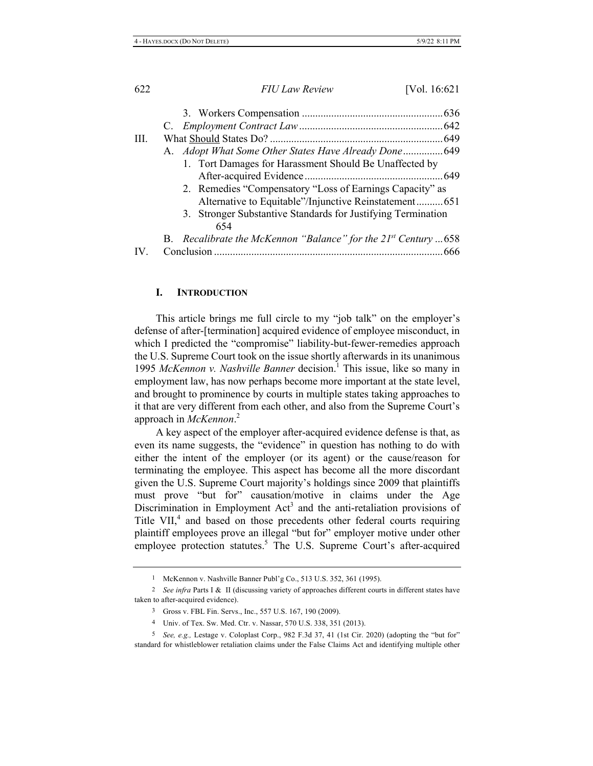| Ш.            |                                                                                                                   |     |
|---------------|-------------------------------------------------------------------------------------------------------------------|-----|
|               | A. Adopt What Some Other States Have Already Done 649                                                             |     |
|               | 1. Tort Damages for Harassment Should Be Unaffected by                                                            |     |
|               | 2. Remedies "Compensatory "Loss of Earnings Capacity" as<br>Alternative to Equitable"/Injunctive Reinstatement651 |     |
|               | 3. Stronger Substantive Standards for Justifying Termination<br>654                                               |     |
|               | B. Recalibrate the McKennon "Balance" for the $21^{st}$ Century 658                                               |     |
| $\mathbf{IV}$ |                                                                                                                   | 666 |

#### I. **INTRODUCTION**

This article brings me full circle to my "job talk" on the employer's defense of after-[termination] acquired evidence of employee misconduct, in which I predicted the "compromise" liability-but-fewer-remedies approach the U.S. Supreme Court took on the issue shortly afterwards in its unanimous 1995 McKennon v. Nashville Banner decision.<sup>1</sup> This issue, like so many in employment law, has now perhaps become more important at the state level, and brought to prominence by courts in multiple states taking approaches to it that are very different from each other, and also from the Supreme Court's approach in McKennon.<sup>2</sup>

A key aspect of the employer after-acquired evidence defense is that, as even its name suggests, the "evidence" in question has nothing to do with either the intent of the employer (or its agent) or the cause/reason for terminating the employee. This aspect has become all the more discordant given the U.S. Supreme Court majority's holdings since 2009 that plaintiffs must prove "but for" causation/motive in claims under the Age Discrimination in Employment Act<sup>3</sup> and the anti-retaliation provisions of Title VII,<sup>4</sup> and based on those precedents other federal courts requiring plaintiff employees prove an illegal "but for" employer motive under other employee protection statutes.<sup>5</sup> The U.S. Supreme Court's after-acquired

<sup>&</sup>lt;sup>1</sup> McKennon v. Nashville Banner Publ'g Co., 513 U.S. 352, 361 (1995).

<sup>&</sup>lt;sup>2</sup> See infra Parts I & II (discussing variety of approaches different courts in different states have taken to after-acquired evidence).

<sup>3</sup> Gross v. FBL Fin. Servs., Inc., 557 U.S. 167, 190 (2009).

<sup>4</sup> Univ. of Tex. Sw. Med. Ctr. v. Nassar, 570 U.S. 338, 351 (2013).

<sup>5</sup> See, e.g., Lestage v. Coloplast Corp., 982 F.3d 37, 41 (1st Cir. 2020) (adopting the "but for" standard for whistleblower retaliation claims under the False Claims Act and identifying multiple other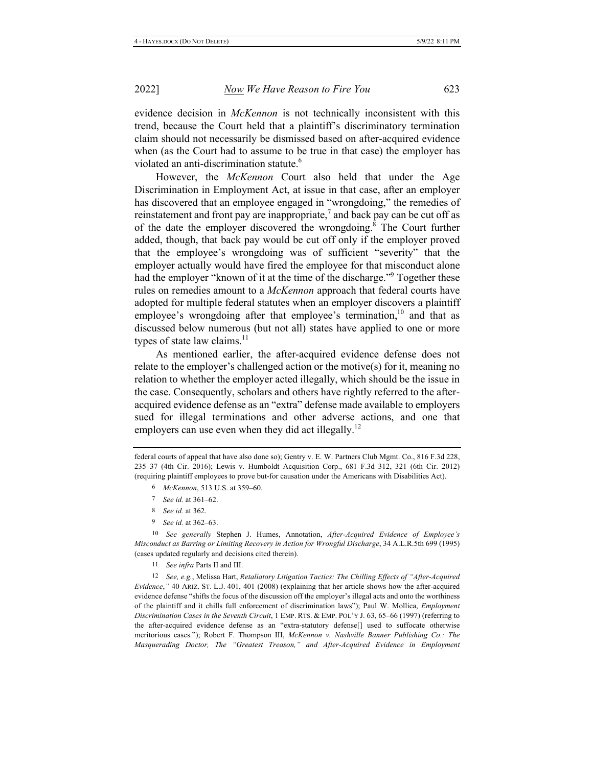evidence decision in McKennon is not technically inconsistent with this trend, because the Court held that a plaintiff's discriminatory termination claim should not necessarily be dismissed based on after-acquired evidence when (as the Court had to assume to be true in that case) the employer has violated an anti-discrimination statute.<sup>6</sup>

However, the McKennon Court also held that under the Age Discrimination in Employment Act, at issue in that case, after an employer has discovered that an employee engaged in "wrongdoing," the remedies of reinstatement and front pay are inappropriate,<sup>7</sup> and back pay can be cut off as of the date the employer discovered the wrongdoing.<sup>8</sup> The Court further added, though, that back pay would be cut off only if the employer proved that the employee's wrongdoing was of sufficient "severity" that the employer actually would have fired the employee for that misconduct alone had the employer "known of it at the time of the discharge."<sup>9</sup> Together these rules on remedies amount to a McKennon approach that federal courts have adopted for multiple federal statutes when an employer discovers a plaintiff employee's wrongdoing after that employee's termination,  $10^{\circ}$  and that as discussed below numerous (but not all) states have applied to one or more types of state law claims.<sup>11</sup>

As mentioned earlier, the after-acquired evidence defense does not relate to the employer's challenged action or the motive $(s)$  for it, meaning no relation to whether the employer acted illegally, which should be the issue in the case. Consequently, scholars and others have rightly referred to the afteracquired evidence defense as an "extra" defense made available to employers sued for illegal terminations and other adverse actions, and one that employers can use even when they did act illegally.<sup>12</sup>

9 See id. at 362-63.

<sup>10</sup> See generally Stephen J. Humes, Annotation, After-Acquired Evidence of Employee's Misconduct as Barring or Limiting Recovery in Action for Wrongful Discharge, 34 A.L.R.5th 699 (1995) (cases updated regularly and decisions cited therein).

11 See infra Parts II and III.

12 See, e.g., Melissa Hart, Retaliatory Litigation Tactics: The Chilling Effects of "After-Acquired Evidence," 40 ARIZ. ST. L.J. 401, 401 (2008) (explaining that her article shows how the after-acquired evidence defense "shifts the focus of the discussion off the employer's illegal acts and onto the worthiness of the plaintiff and it chills full enforcement of discrimination laws"); Paul W. Mollica, Employment Discrimination Cases in the Seventh Circuit, 1 EMP. RTS. & EMP. POL'Y J. 63, 65-66 (1997) (referring to the after-acquired evidence defense as an "extra-statutory defense[] used to suffocate otherwise meritorious cases."); Robert F. Thompson III, McKennon v. Nashville Banner Publishing Co.: The Masquerading Doctor, The "Greatest Treason," and After-Acquired Evidence in Employment

federal courts of appeal that have also done so); Gentry v. E. W. Partners Club Mgmt. Co., 816 F.3d 228, 235-37 (4th Cir. 2016); Lewis v. Humboldt Acquisition Corp., 681 F.3d 312, 321 (6th Cir. 2012) (requiring plaintiff employees to prove but-for causation under the Americans with Disabilities Act).

<sup>6</sup> McKennon, 513 U.S. at 359-60.

<sup>7</sup> See id. at 361-62.

<sup>8</sup> See id. at 362.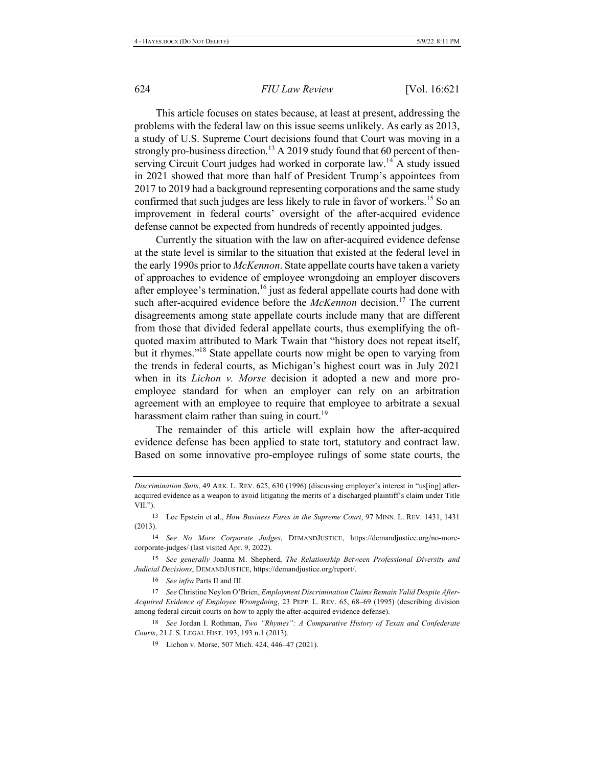This article focuses on states because, at least at present, addressing the problems with the federal law on this issue seems unlikely. As early as 2013, a study of U.S. Supreme Court decisions found that Court was moving in a strongly pro-business direction.<sup>13</sup> A 2019 study found that 60 percent of thenserving Circuit Court judges had worked in corporate law.<sup>14</sup> A study issued in 2021 showed that more than half of President Trump's appointees from 2017 to 2019 had a background representing corporations and the same study confirmed that such judges are less likely to rule in favor of workers.<sup>15</sup> So an improvement in federal courts' oversight of the after-acquired evidence defense cannot be expected from hundreds of recently appointed judges.

Currently the situation with the law on after-acquired evidence defense at the state level is similar to the situation that existed at the federal level in the early 1990s prior to *McKennon*. State appellate courts have taken a variety of approaches to evidence of employee wrongdoing an employer discovers after employee's termination,<sup>16</sup> just as federal appellate courts had done with such after-acquired evidence before the McKennon decision.<sup>17</sup> The current disagreements among state appellate courts include many that are different from those that divided federal appellate courts, thus exemplifying the oftquoted maxim attributed to Mark Twain that "history does not repeat itself, but it rhymes."<sup>18</sup> State appellate courts now might be open to varying from the trends in federal courts, as Michigan's highest court was in July 2021 when in its *Lichon v. Morse* decision it adopted a new and more proemployee standard for when an employer can rely on an arbitration agreement with an employee to require that employee to arbitrate a sexual harassment claim rather than suing in court.<sup>19</sup>

The remainder of this article will explain how the after-acquired evidence defense has been applied to state tort, statutory and contract law. Based on some innovative pro-employee rulings of some state courts, the

16 See infra Parts II and III.

17 See Christine Neylon O'Brien, Employment Discrimination Claims Remain Valid Despite After-Acquired Evidence of Employee Wrongdoing, 23 PEPP. L. REV. 65, 68-69 (1995) (describing division among federal circuit courts on how to apply the after-acquired evidence defense).

18 See Jordan I. Rothman, Two "Rhymes": A Comparative History of Texan and Confederate Courts, 21 J. S. LEGAL HIST. 193, 193 n.1 (2013).

Discrimination Suits, 49 ARK. L. REV. 625, 630 (1996) (discussing employer's interest in "us[ing] afteracquired evidence as a weapon to avoid litigating the merits of a discharged plaintiff's claim under Title VII.").

<sup>&</sup>lt;sup>13</sup> Lee Epstein et al., *How Business Fares in the Supreme Court*, 97 MINN. L. REV. 1431, 1431  $(2013).$ 

<sup>14</sup> See No More Corporate Judges, DEMANDJUSTICE, https://demandjustice.org/no-morecorporate-judges/ (last visited Apr. 9, 2022).

<sup>15</sup> See generally Joanna M. Shepherd, The Relationship Between Professional Diversity and Judicial Decisions, DEMANDJUSTICE, https://demandjustice.org/report/.

<sup>&</sup>lt;sup>19</sup> Lichon v. Morse, 507 Mich. 424, 446–47 (2021).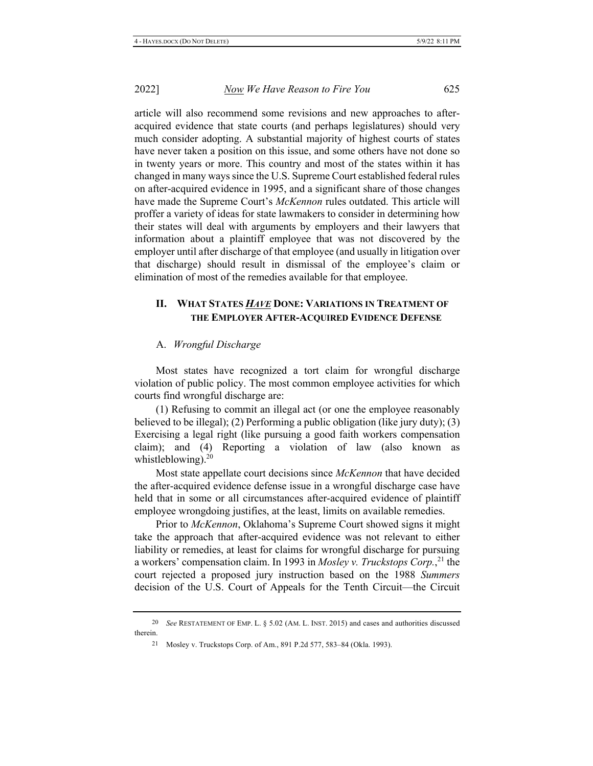article will also recommend some revisions and new approaches to afteracquired evidence that state courts (and perhaps legislatures) should very much consider adopting. A substantial majority of highest courts of states have never taken a position on this issue, and some others have not done so in twenty years or more. This country and most of the states within it has changed in many ways since the U.S. Supreme Court established federal rules on after-acquired evidence in 1995, and a significant share of those changes have made the Supreme Court's McKennon rules outdated. This article will proffer a variety of ideas for state lawmakers to consider in determining how their states will deal with arguments by employers and their lawyers that information about a plaintiff employee that was not discovered by the employer until after discharge of that employee (and usually in litigation over that discharge) should result in dismissal of the employee's claim or elimination of most of the remedies available for that employee.

#### П. **WHAT STATES HAVE DONE: VARIATIONS IN TREATMENT OF** THE EMPLOYER AFTER-ACQUIRED EVIDENCE DEFENSE

#### A. Wrongful Discharge

Most states have recognized a tort claim for wrongful discharge violation of public policy. The most common employee activities for which courts find wrongful discharge are:

(1) Refusing to commit an illegal act (or one the employee reasonably believed to be illegal); (2) Performing a public obligation (like jury duty); (3) Exercising a legal right (like pursuing a good faith workers compensation claim); and (4) Reporting a violation of law (also known as whistleblowing). $^{20}$ 

Most state appellate court decisions since *McKennon* that have decided the after-acquired evidence defense issue in a wrongful discharge case have held that in some or all circumstances after-acquired evidence of plaintiff employee wrongdoing justifies, at the least, limits on available remedies.

Prior to *McKennon*, Oklahoma's Supreme Court showed signs it might take the approach that after-acquired evidence was not relevant to either liability or remedies, at least for claims for wrongful discharge for pursuing a workers' compensation claim. In 1993 in Mosley v. Truckstops Corp.,  $^{21}$  the court rejected a proposed jury instruction based on the 1988 Summers decision of the U.S. Court of Appeals for the Tenth Circuit—the Circuit

<sup>20</sup> See RESTATEMENT OF EMP. L. § 5.02 (AM. L. INST. 2015) and cases and authorities discussed therein.

<sup>21</sup> Mosley v. Truckstops Corp. of Am., 891 P.2d 577, 583-84 (Okla. 1993).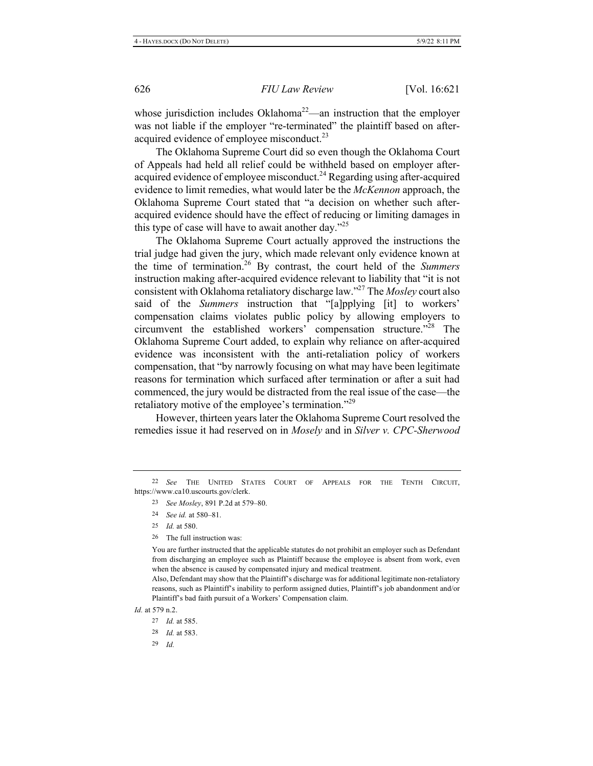whose jurisdiction includes Oklahoma<sup>22</sup>—an instruction that the employer was not liable if the employer "re-terminated" the plaintiff based on afteracquired evidence of employee misconduct. $^{23}$ 

The Oklahoma Supreme Court did so even though the Oklahoma Court of Appeals had held all relief could be withheld based on employer afteracquired evidence of employee misconduct.<sup>24</sup> Regarding using after-acquired evidence to limit remedies, what would later be the McKennon approach, the Oklahoma Supreme Court stated that "a decision on whether such afteracquired evidence should have the effect of reducing or limiting damages in this type of case will have to await another day."<sup>25</sup>

The Oklahoma Supreme Court actually approved the instructions the trial judge had given the jury, which made relevant only evidence known at the time of termination.<sup>26</sup> By contrast, the court held of the Summers instruction making after-acquired evidence relevant to liability that "it is not consistent with Oklahoma retaliatory discharge law."<sup>27</sup> The *Mosley* court also said of the Summers instruction that "[a]pplying [it] to workers' compensation claims violates public policy by allowing employers to circumvent the established workers' compensation structure."<sup>28</sup> The Oklahoma Supreme Court added, to explain why reliance on after-acquired evidence was inconsistent with the anti-retaliation policy of workers compensation, that "by narrowly focusing on what may have been legitimate reasons for termination which surfaced after termination or after a suit had commenced, the jury would be distracted from the real issue of the case—the retaliatory motive of the employee's termination."<sup>29</sup>

However, thirteen years later the Oklahoma Supreme Court resolved the remedies issue it had reserved on in Mosely and in Silver v. CPC-Sherwood

- 23 See Mosley, 891 P.2d at 579-80.
- 24 *See id.* at 580-81.
- 25 *Id.* at 580.
- 26 The full instruction was:

You are further instructed that the applicable statutes do not prohibit an employer such as Defendant from discharging an employee such as Plaintiff because the employee is absent from work, even when the absence is caused by compensated injury and medical treatment.

Also, Defendant may show that the Plaintiff's discharge was for additional legitimate non-retaliatory reasons, such as Plaintiff's inability to perform assigned duties, Plaintiff's job abandonment and/or Plaintiff's bad faith pursuit of a Workers' Compensation claim.

*Id.* at 579 n.2.

29 *Id.* 

<sup>&</sup>lt;sup>22</sup> See THE UNITED STATES COURT OF APPEALS FOR THE TENTH CIRCUIT, https://www.ca10.uscourts.gov/clerk.

<sup>27</sup> *Id.* at 585.

<sup>28</sup> *Id.* at 583.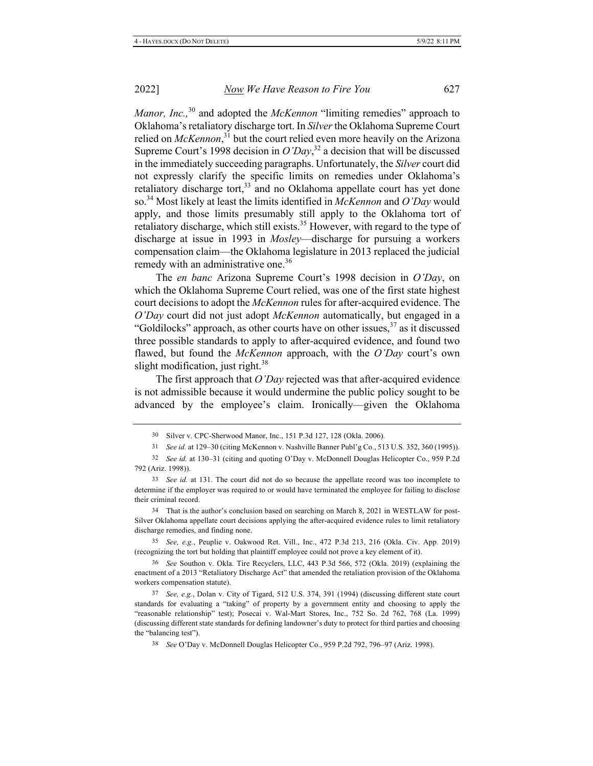2022]

Manor, Inc.,<sup>30</sup> and adopted the McKennon "limiting remedies" approach to Oklahoma's retaliatory discharge tort. In Silver the Oklahoma Supreme Court relied on  $McKennon$ <sup>31</sup> but the court relied even more heavily on the Arizona Supreme Court's 1998 decision in  $O'Day$ ,<sup>32</sup> a decision that will be discussed in the immediately succeeding paragraphs. Unfortunately, the Silver court did not expressly clarify the specific limits on remedies under Oklahoma's retaliatory discharge tort,<sup>33</sup> and no Oklahoma appellate court has yet done so.<sup>34</sup> Most likely at least the limits identified in McKennon and O'Day would apply, and those limits presumably still apply to the Oklahoma tort of retaliatory discharge, which still exists.<sup>35</sup> However, with regard to the type of discharge at issue in 1993 in *Mosley*—discharge for pursuing a workers compensation claim—the Oklahoma legislature in 2013 replaced the judicial remedy with an administrative one.<sup>36</sup>

The en banc Arizona Supreme Court's 1998 decision in  $O'Day$ , on which the Oklahoma Supreme Court relied, was one of the first state highest court decisions to adopt the McKennon rules for after-acquired evidence. The O'Day court did not just adopt McKennon automatically, but engaged in a "Goldilocks" approach, as other courts have on other issues,<sup>37</sup> as it discussed three possible standards to apply to after-acquired evidence, and found two flawed, but found the McKennon approach, with the O'Day court's own slight modification, just right.<sup>38</sup>

The first approach that  $O'Day$  rejected was that after-acquired evidence is not admissible because it would undermine the public policy sought to be advanced by the employee's claim. Ironically—given the Oklahoma

31 See id. at 129–30 (citing McKennon v. Nashville Banner Publ'g Co., 513 U.S. 352, 360 (1995)).

32 See id. at 130–31 (citing and quoting O'Day v. McDonnell Douglas Helicopter Co., 959 P.2d 792 (Ariz. 1998)).

33 See id. at 131. The court did not do so because the appellate record was too incomplete to determine if the employer was required to or would have terminated the employee for failing to disclose their criminal record.

<sup>34</sup> That is the author's conclusion based on searching on March 8, 2021 in WESTLAW for post-Silver Oklahoma appellate court decisions applying the after-acquired evidence rules to limit retaliatory discharge remedies, and finding none.

35 See, e.g., Peuplie v. Oakwood Ret. Vill., Inc., 472 P.3d 213, 216 (Okla. Civ. App. 2019) (recognizing the tort but holding that plaintiff employee could not prove a key element of it).

36 See Southon v. Okla. Tire Recyclers, LLC, 443 P.3d 566, 572 (Okla. 2019) (explaining the enactment of a 2013 "Retaliatory Discharge Act" that amended the retaliation provision of the Oklahoma workers compensation statute).

37 See, e.g., Dolan v. City of Tigard, 512 U.S. 374, 391 (1994) (discussing different state court standards for evaluating a "taking" of property by a government entity and choosing to apply the "reasonable relationship" test); Posecai v. Wal-Mart Stores, Inc., 752 So. 2d 762, 768 (La. 1999) (discussing different state standards for defining landowner's duty to protect for third parties and choosing the "balancing test").

<sup>30</sup> Silver v. CPC-Sherwood Manor, Inc., 151 P.3d 127, 128 (Okla. 2006).

<sup>38</sup> See O'Day v. McDonnell Douglas Helicopter Co., 959 P.2d 792, 796-97 (Ariz. 1998).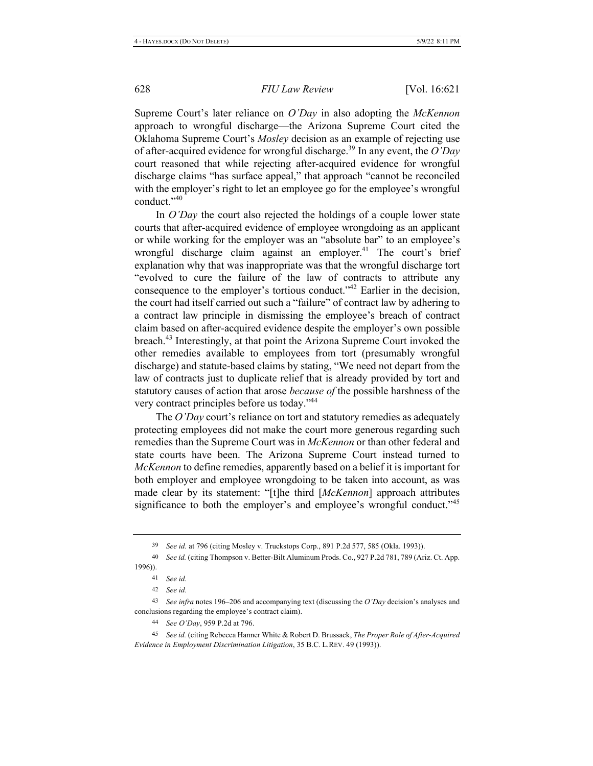Supreme Court's later reliance on O'Day in also adopting the McKennon approach to wrongful discharge—the Arizona Supreme Court cited the Oklahoma Supreme Court's Mosley decision as an example of rejecting use of after-acquired evidence for wrongful discharge.<sup>39</sup> In any event, the  $O'Day$ court reasoned that while rejecting after-acquired evidence for wrongful discharge claims "has surface appeal," that approach "cannot be reconciled with the employer's right to let an employee go for the employee's wrongful conduct."<sup>40</sup>

In O'Day the court also rejected the holdings of a couple lower state courts that after-acquired evidence of employee wrongdoing as an applicant or while working for the employer was an "absolute bar" to an employee's wrongful discharge claim against an employer.<sup>41</sup> The court's brief explanation why that was inappropriate was that the wrongful discharge tort "evolved to cure the failure of the law of contracts to attribute any consequence to the employer's tortious conduct."<sup>42</sup> Earlier in the decision, the court had itself carried out such a "failure" of contract law by adhering to a contract law principle in dismissing the employee's breach of contract claim based on after-acquired evidence despite the employer's own possible breach.<sup>43</sup> Interestingly, at that point the Arizona Supreme Court invoked the other remedies available to employees from tort (presumably wrongful discharge) and statute-based claims by stating, "We need not depart from the law of contracts just to duplicate relief that is already provided by tort and statutory causes of action that arose *because of* the possible harshness of the very contract principles before us today."<sup>44</sup>

The O'Day court's reliance on tort and statutory remedies as adequately protecting employees did not make the court more generous regarding such remedies than the Supreme Court was in McKennon or than other federal and state courts have been. The Arizona Supreme Court instead turned to *McKennon* to define remedies, apparently based on a belief it is important for both employer and employee wrongdoing to be taken into account, as was made clear by its statement: "[t]he third [McKennon] approach attributes significance to both the employer's and employee's wrongful conduct."<sup>45</sup>

44 See O'Day, 959 P.2d at 796.

<sup>45</sup> See id. (citing Rebecca Hanner White & Robert D. Brussack, *The Proper Role of After-Acquired* Evidence in Employment Discrimination Litigation, 35 B.C. L.REV. 49 (1993)).

<sup>39</sup> See id. at 796 (citing Mosley v. Truckstops Corp., 891 P.2d 577, 585 (Okla. 1993)).

<sup>40</sup> See id. (citing Thompson v. Better-Bilt Aluminum Prods. Co., 927 P.2d 781, 789 (Ariz. Ct. App.  $1996$ ).

<sup>41</sup> See id.

<sup>42</sup> *See id.* 

<sup>&</sup>lt;sup>43</sup> See infra notes 196–206 and accompanying text (discussing the O'Day decision's analyses and conclusions regarding the employee's contract claim).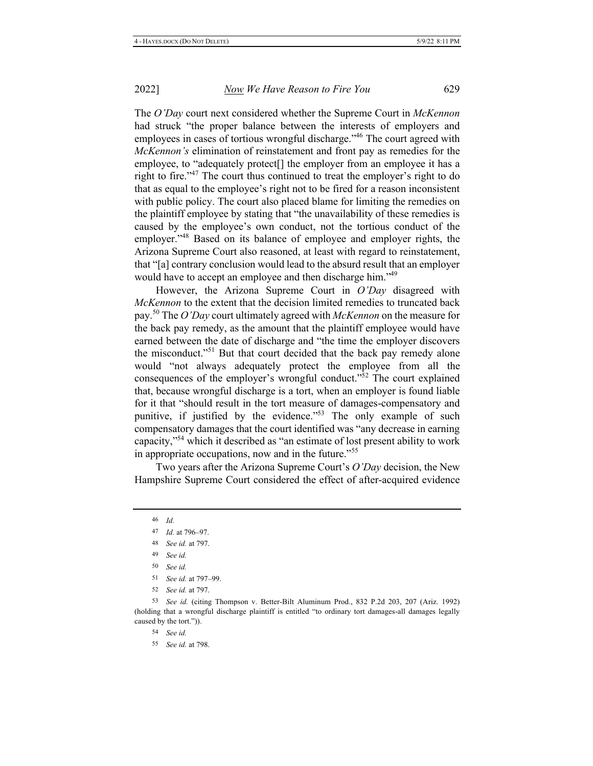The O'Day court next considered whether the Supreme Court in McKennon had struck "the proper balance between the interests of employers and employees in cases of tortious wrongful discharge."<sup>46</sup> The court agreed with *McKennon's* elimination of reinstatement and front pay as remedies for the employee, to "adequately protect<sup>[]</sup> the employer from an employee it has a right to fire.<sup>347</sup> The court thus continued to treat the employer's right to do that as equal to the employee's right not to be fired for a reason inconsistent with public policy. The court also placed blame for limiting the remedies on the plaintiff employee by stating that "the unavailability of these remedies is caused by the employee's own conduct, not the tortious conduct of the employer."<sup>48</sup> Based on its balance of employee and employer rights, the Arizona Supreme Court also reasoned, at least with regard to reinstatement, that "[a] contrary conclusion would lead to the absurd result that an employer would have to accept an employee and then discharge him."<sup>49</sup>

However, the Arizona Supreme Court in O'Day disagreed with *McKennon* to the extent that the decision limited remedies to truncated back pay.<sup>50</sup> The O'Day court ultimately agreed with *McKennon* on the measure for the back pay remedy, as the amount that the plaintiff employee would have earned between the date of discharge and "the time the employer discovers" the misconduct."<sup>51</sup> But that court decided that the back pay remedy alone would "not always adequately protect the employee from all the consequences of the employer's wrongful conduct." $\frac{3}{2}$  The court explained that, because wrongful discharge is a tort, when an employer is found liable for it that "should result in the tort measure of damages-compensatory and punitive, if justified by the evidence."<sup>53</sup> The only example of such compensatory damages that the court identified was "any decrease in earning capacity,"<sup>54</sup> which it described as "an estimate of lost present ability to work in appropriate occupations, now and in the future. $^{55}$ 

Two years after the Arizona Supreme Court's O'Day decision, the New Hampshire Supreme Court considered the effect of after-acquired evidence

 $46$  *Id.* 

- 48 *See id.* at 797.
- 49 See id.
- 50 See id.
- 51 See id. at 797-99.
- 52 *See id.* at 797.

<sup>53</sup> See id. (citing Thompson v. Better-Bilt Aluminum Prod., 832 P.2d 203, 207 (Ariz. 1992) (holding that a wrongful discharge plaintiff is entitled "to ordinary tort damages-all damages legally caused by the tort.")).

54 See id.

55 *See id.* at 798.

<sup>47</sup> *Id.* at 796-97.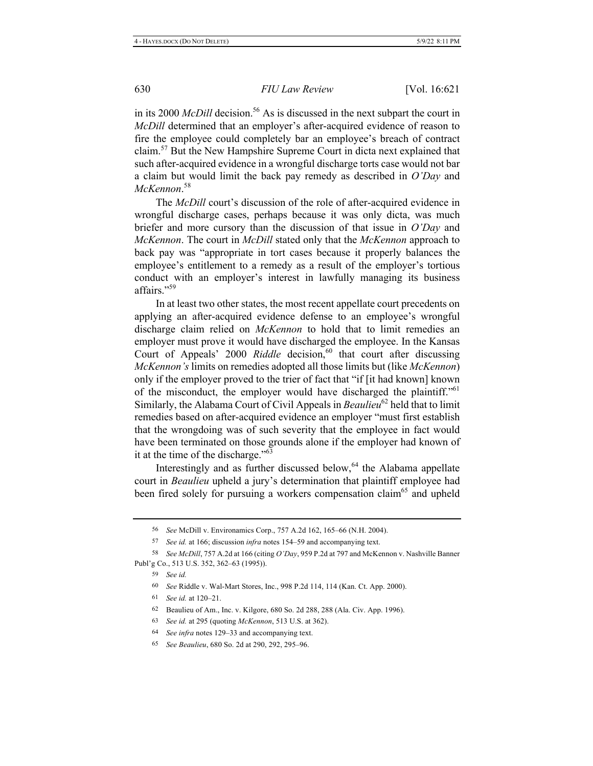in its 2000 *McDill* decision.<sup>56</sup> As is discussed in the next subpart the court in McDill determined that an employer's after-acquired evidence of reason to fire the employee could completely bar an employee's breach of contract claim.<sup>57</sup> But the New Hampshire Supreme Court in dicta next explained that such after-acquired evidence in a wrongful discharge torts case would not bar a claim but would limit the back pay remedy as described in  $O'Day$  and McKennon.<sup>58</sup>

The McDill court's discussion of the role of after-acquired evidence in wrongful discharge cases, perhaps because it was only dicta, was much briefer and more cursory than the discussion of that issue in  $O'Day$  and McKennon. The court in McDill stated only that the McKennon approach to back pay was "appropriate in tort cases because it properly balances the employee's entitlement to a remedy as a result of the employer's tortious conduct with an employer's interest in lawfully managing its business affairs."<sup>59</sup>

In at least two other states, the most recent appellate court precedents on applying an after-acquired evidence defense to an employee's wrongful discharge claim relied on *McKennon* to hold that to limit remedies an employer must prove it would have discharged the employee. In the Kansas Court of Appeals' 2000 Riddle decision,<sup>60</sup> that court after discussing McKennon's limits on remedies adopted all those limits but (like McKennon) only if the employer proved to the trier of fact that "if [it had known] known of the misconduct, the employer would have discharged the plaintiff."<sup>61</sup> Similarly, the Alabama Court of Civil Appeals in Beaulieu<sup>62</sup> held that to limit remedies based on after-acquired evidence an employer "must first establish that the wrongdoing was of such severity that the employee in fact would have been terminated on those grounds alone if the employer had known of it at the time of the discharge."<sup>63</sup>

Interestingly and as further discussed below,<sup>64</sup> the Alabama appellate court in Beaulieu upheld a jury's determination that plaintiff employee had been fired solely for pursuing a workers compensation claim<sup>65</sup> and upheld

<sup>56</sup> See McDill v. Environamics Corp., 757 A.2d 162, 165-66 (N.H. 2004).

<sup>57</sup> See id. at 166; discussion infra notes 154-59 and accompanying text.

<sup>58</sup> See McDill, 757 A.2d at 166 (citing O'Day, 959 P.2d at 797 and McKennon v. Nashville Banner Publ'g Co., 513 U.S. 352, 362-63 (1995)).

<sup>59</sup> See id.

<sup>60</sup> See Riddle v. Wal-Mart Stores, Inc., 998 P.2d 114, 114 (Kan. Ct. App. 2000).

<sup>61</sup> See id. at  $120-21$ .

<sup>62</sup> Beaulieu of Am., Inc. v. Kilgore, 680 So. 2d 288, 288 (Ala. Civ. App. 1996).

<sup>63</sup> See id. at 295 (quoting McKennon, 513 U.S. at 362).

<sup>64</sup> See infra notes 129-33 and accompanying text.

<sup>65</sup> See Beaulieu, 680 So. 2d at 290, 292, 295-96.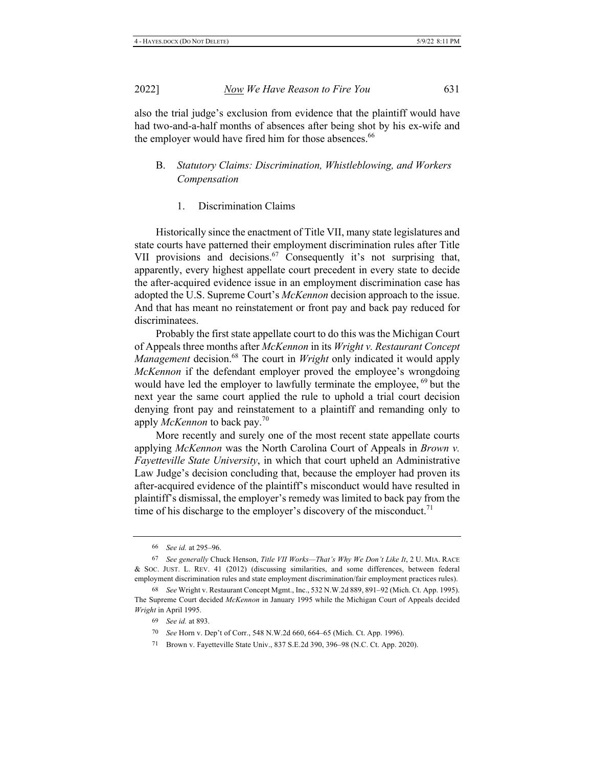2022]

also the trial judge's exclusion from evidence that the plaintiff would have had two-and-a-half months of absences after being shot by his ex-wife and the employer would have fired him for those absences.<sup>66</sup>

#### Statutory Claims: Discrimination, Whistleblowing, and Workers В. Compensation

**Discrimination Claims** 1.

Historically since the enactment of Title VII, many state legislatures and state courts have patterned their employment discrimination rules after Title VII provisions and decisions.<sup>67</sup> Consequently it's not surprising that, apparently, every highest appellate court precedent in every state to decide the after-acquired evidence issue in an employment discrimination case has adopted the U.S. Supreme Court's McKennon decision approach to the issue. And that has meant no reinstatement or front pay and back pay reduced for discriminatees.

Probably the first state appellate court to do this was the Michigan Court of Appeals three months after McKennon in its Wright v. Restaurant Concept Management decision.<sup>68</sup> The court in Wright only indicated it would apply McKennon if the defendant employer proved the employee's wrongdoing would have led the employer to lawfully terminate the employee,  $^{69}$  but the next year the same court applied the rule to uphold a trial court decision denying front pay and reinstatement to a plaintiff and remanding only to apply McKennon to back pay.<sup>70</sup>

More recently and surely one of the most recent state appellate courts applying McKennon was the North Carolina Court of Appeals in Brown v. Fayetteville State University, in which that court upheld an Administrative Law Judge's decision concluding that, because the employer had proven its after-acquired evidence of the plaintiff's misconduct would have resulted in plaintiff's dismissal, the employer's remedy was limited to back pay from the time of his discharge to the employer's discovery of the misconduct.<sup>71</sup>

- 69 See id. at 893.
- 70 See Horn v. Dep't of Corr., 548 N.W.2d 660, 664-65 (Mich. Ct. App. 1996).
- 71 Brown v. Fayetteville State Univ., 837 S.E.2d 390, 396–98 (N.C. Ct. App. 2020).

<sup>66</sup> See id. at 295-96.

<sup>67</sup> See generally Chuck Henson, Title VII Works-That's Why We Don't Like It, 2 U. MIA. RACE & Soc. JUST. L. REV. 41 (2012) (discussing similarities, and some differences, between federal employment discrimination rules and state employment discrimination/fair employment practices rules).

<sup>68</sup> See Wright v. Restaurant Concept Mgmt., Inc., 532 N.W.2d 889, 891-92 (Mich. Ct. App. 1995). The Supreme Court decided McKennon in January 1995 while the Michigan Court of Appeals decided Wright in April 1995.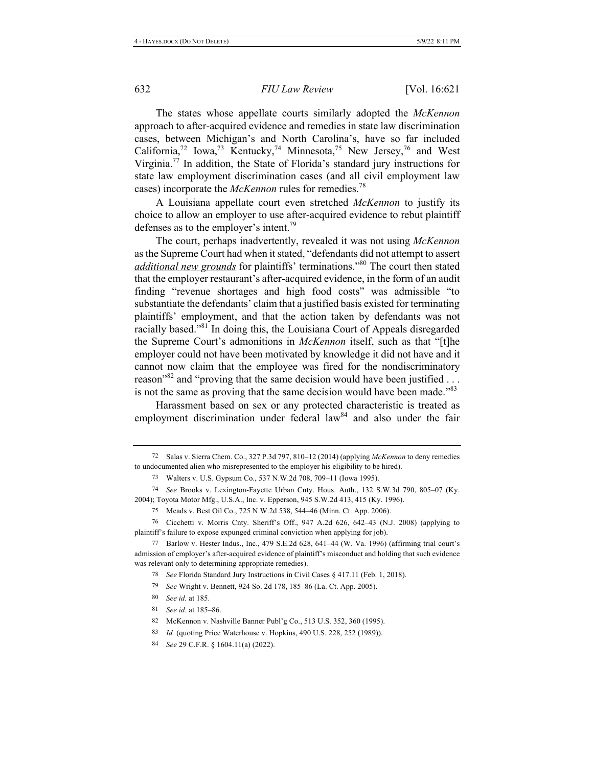The states whose appellate courts similarly adopted the McKennon approach to after-acquired evidence and remedies in state law discrimination cases, between Michigan's and North Carolina's, have so far included California,<sup>72</sup> Iowa,<sup>73</sup> Kentucky,<sup>74</sup> Minnesota,<sup>75</sup> New Jersey,<sup>76</sup> and West Virginia.<sup>77</sup> In addition, the State of Florida's standard jury instructions for state law employment discrimination cases (and all civil employment law cases) incorporate the *McKennon* rules for remedies.<sup>78</sup>

A Louisiana appellate court even stretched McKennon to justify its choice to allow an employer to use after-acquired evidence to rebut plaintiff defenses as to the employer's intent.<sup>79</sup>

The court, perhaps inadvertently, revealed it was not using McKennon as the Supreme Court had when it stated, "defendants did not attempt to assert *additional new grounds* for plaintiffs' terminations."<sup>80</sup> The court then stated that the employer restaurant's after-acquired evidence, in the form of an audit finding "revenue shortages and high food costs" was admissible "to substantiate the defendants' claim that a justified basis existed for terminating plaintiffs' employment, and that the action taken by defendants was not racially based."<sup>81</sup> In doing this, the Louisiana Court of Appeals disregarded the Supreme Court's admonitions in McKennon itself, such as that "[t]he employer could not have been motivated by knowledge it did not have and it cannot now claim that the employee was fired for the nondiscriminatory reason"<sup>82</sup> and "proving that the same decision would have been justified ... is not the same as proving that the same decision would have been made."<sup>83</sup>

Harassment based on sex or any protected characteristic is treated as employment discrimination under federal law<sup>84</sup> and also under the fair

- 80 See id. at 185.
- 81 See id. at 185-86.

<sup>72</sup> Salas v. Sierra Chem. Co., 327 P.3d 797, 810-12 (2014) (applying McKennon to deny remedies to undocumented alien who misrepresented to the employer his eligibility to be hired).

<sup>73</sup> Walters v. U.S. Gypsum Co., 537 N.W.2d 708, 709-11 (Iowa 1995).

<sup>74</sup> See Brooks v. Lexington-Fayette Urban Cnty. Hous. Auth., 132 S.W.3d 790, 805-07 (Ky. 2004); Toyota Motor Mfg., U.S.A., Inc. v. Epperson, 945 S.W.2d 413, 415 (Ky. 1996).

<sup>75</sup> Meads v. Best Oil Co., 725 N.W.2d 538, 544-46 (Minn. Ct. App. 2006).

<sup>76</sup> Cicchetti v. Morris Cnty. Sheriff's Off., 947 A.2d 626, 642-43 (N.J. 2008) (applying to plaintiff's failure to expose expunged criminal conviction when applying for job).

<sup>77</sup> Barlow v. Hester Indus., Inc., 479 S.E.2d 628, 641-44 (W. Va. 1996) (affirming trial court's admission of employer's after-acquired evidence of plaintiff's misconduct and holding that such evidence was relevant only to determining appropriate remedies).

<sup>78</sup> See Florida Standard Jury Instructions in Civil Cases § 417.11 (Feb. 1, 2018).

<sup>79</sup> See Wright v. Bennett, 924 So. 2d 178, 185-86 (La. Ct. App. 2005).

<sup>82</sup> McKennon v. Nashville Banner Publ'g Co., 513 U.S. 352, 360 (1995).

*Id.* (quoting Price Waterhouse v. Hopkins, 490 U.S. 228, 252 (1989)). 83

<sup>84</sup> See 29 C.F.R. § 1604.11(a) (2022).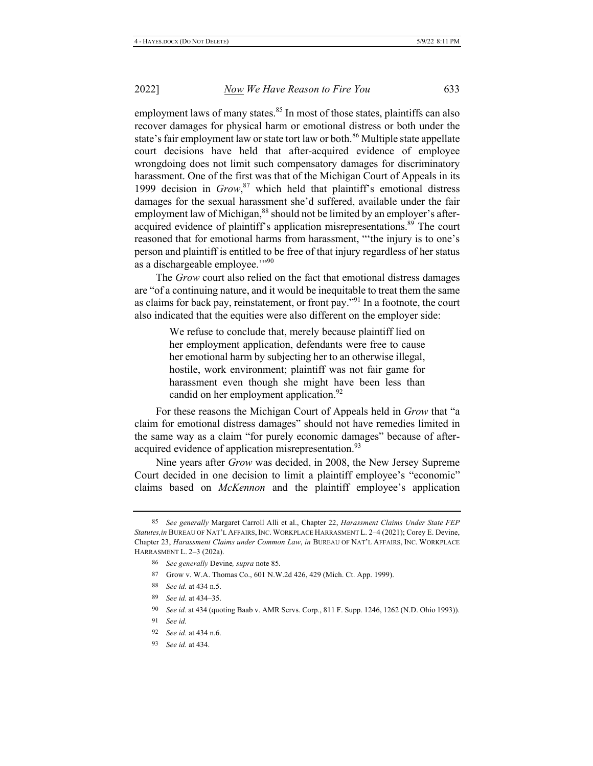employment laws of many states.<sup>85</sup> In most of those states, plaintiffs can also recover damages for physical harm or emotional distress or both under the state's fair employment law or state tort law or both.<sup>86</sup> Multiple state appellate court decisions have held that after-acquired evidence of employee wrongdoing does not limit such compensatory damages for discriminatory harassment. One of the first was that of the Michigan Court of Appeals in its 1999 decision in  $Grow$ ,  $87$  which held that plaintiff's emotional distress damages for the sexual harassment she'd suffered, available under the fair employment law of Michigan,<sup>88</sup> should not be limited by an employer's afteracquired evidence of plaintiff's application misrepresentations.<sup>89</sup> The court reasoned that for emotional harms from harassment, "the injury is to one's person and plaintiff is entitled to be free of that injury regardless of her status as a dischargeable employee."?90

The Grow court also relied on the fact that emotional distress damages are "of a continuing nature, and it would be inequitable to treat them the same as claims for back pay, reinstatement, or front pay."<sup>91</sup> In a footnote, the court also indicated that the equities were also different on the employer side:

> We refuse to conclude that, merely because plaintiff lied on her employment application, defendants were free to cause her emotional harm by subjecting her to an otherwise illegal, hostile, work environment; plaintiff was not fair game for harassment even though she might have been less than candid on her employment application.<sup>92</sup>

For these reasons the Michigan Court of Appeals held in Grow that "a claim for emotional distress damages" should not have remedies limited in the same way as a claim "for purely economic damages" because of afteracquired evidence of application misrepresentation.<sup>93</sup>

Nine years after Grow was decided, in 2008, the New Jersey Supreme Court decided in one decision to limit a plaintiff employee's "economic" claims based on McKennon and the plaintiff employee's application

<sup>85</sup> See generally Margaret Carroll Alli et al., Chapter 22, Harassment Claims Under State FEP Statutes, in BUREAU OF NAT'L AFFAIRS, INC. WORKPLACE HARRASMENT L. 2-4 (2021); Corey E. Devine, Chapter 23, Harassment Claims under Common Law, in BUREAU OF NAT'L AFFAIRS, INC. WORKPLACE HARRASMENT L. 2-3 (202a).

<sup>86</sup> See generally Devine, supra note 85.

<sup>87</sup> Grow v. W.A. Thomas Co., 601 N.W.2d 426, 429 (Mich. Ct. App. 1999).

<sup>88</sup> See id. at 434 n.5.

<sup>89</sup> See id. at 434-35.

<sup>90</sup> See id. at 434 (quoting Baab v. AMR Servs. Corp., 811 F. Supp. 1246, 1262 (N.D. Ohio 1993)).

<sup>91</sup> See id.

<sup>92</sup> See id. at 434 n.6.

<sup>93</sup> See id. at 434.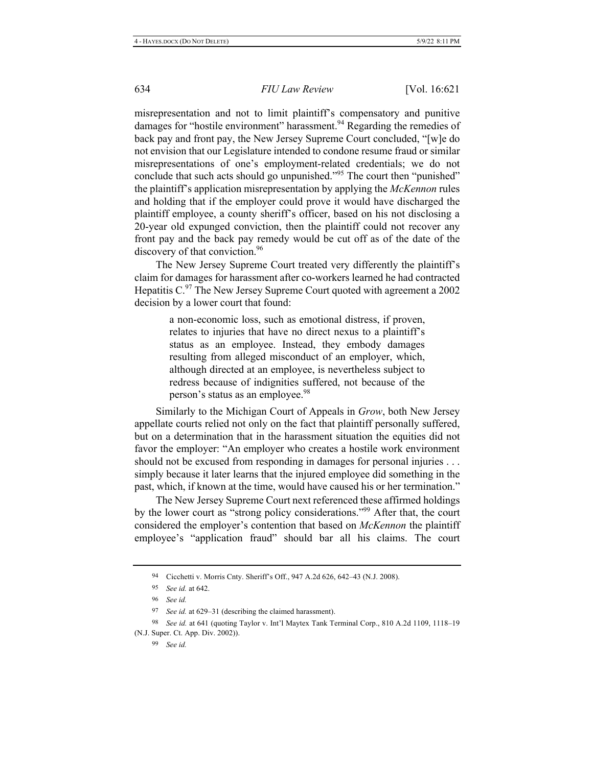misrepresentation and not to limit plaintiff's compensatory and punitive damages for "hostile environment" harassment.<sup>94</sup> Regarding the remedies of back pay and front pay, the New Jersey Supreme Court concluded, "[w]e do not envision that our Legislature intended to condone resume fraud or similar misrepresentations of one's employment-related credentials; we do not conclude that such acts should go unpunished."<sup>95</sup> The court then "punished" the plaintiff's application misrepresentation by applying the McKennon rules and holding that if the employer could prove it would have discharged the plaintiff employee, a county sheriff's officer, based on his not disclosing a 20-year old expunged conviction, then the plaintiff could not recover any front pay and the back pay remedy would be cut off as of the date of the discovery of that conviction.<sup>96</sup>

The New Jersey Supreme Court treated very differently the plaintiff's claim for damages for harassment after co-workers learned he had contracted Hepatitis C. $97$  The New Jersey Supreme Court quoted with agreement a 2002 decision by a lower court that found:

> a non-economic loss, such as emotional distress, if proven, relates to injuries that have no direct nexus to a plaintiff's status as an employee. Instead, they embody damages resulting from alleged misconduct of an employer, which, although directed at an employee, is nevertheless subject to redress because of indignities suffered, not because of the person's status as an employee.<sup>98</sup>

Similarly to the Michigan Court of Appeals in Grow, both New Jersey appellate courts relied not only on the fact that plaintiff personally suffered, but on a determination that in the harassment situation the equities did not favor the employer: "An employer who creates a hostile work environment should not be excused from responding in damages for personal injuries ... simply because it later learns that the injured employee did something in the past, which, if known at the time, would have caused his or her termination."

The New Jersey Supreme Court next referenced these affirmed holdings by the lower court as "strong policy considerations."<sup>99</sup> After that, the court considered the employer's contention that based on McKennon the plaintiff employee's "application fraud" should bar all his claims. The court

<sup>94</sup> Cicchetti v. Morris Cnty. Sheriff's Off., 947 A.2d 626, 642-43 (N.J. 2008).

<sup>95</sup> See id. at 642.

<sup>96</sup> See id.

<sup>97</sup> See id. at 629-31 (describing the claimed harassment).

<sup>98</sup> See id. at 641 (quoting Taylor v. Int'l Maytex Tank Terminal Corp., 810 A.2d 1109, 1118-19 (N.J. Super. Ct. App. Div. 2002)).

<sup>99</sup> See id.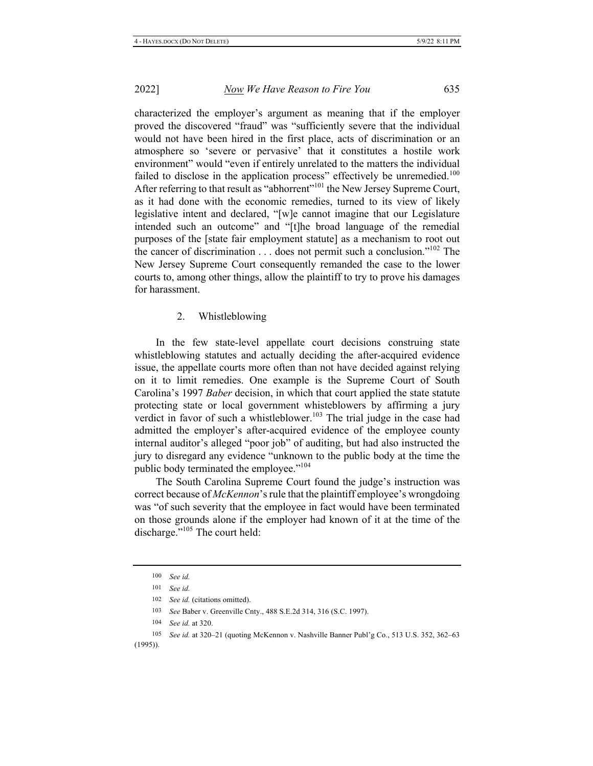characterized the employer's argument as meaning that if the employer proved the discovered "fraud" was "sufficiently severe that the individual would not have been hired in the first place, acts of discrimination or an atmosphere so 'severe or pervasive' that it constitutes a hostile work environment" would "even if entirely unrelated to the matters the individual failed to disclose in the application process" effectively be unremedied.<sup>100</sup> After referring to that result as "abhorrent"<sup>101</sup> the New Jersey Supreme Court, as it had done with the economic remedies, turned to its view of likely legislative intent and declared, "[w]e cannot imagine that our Legislature intended such an outcome" and "[t]he broad language of the remedial purposes of the [state fair employment statute] as a mechanism to root out the cancer of discrimination . . . does not permit such a conclusion."<sup>102</sup> The New Jersey Supreme Court consequently remanded the case to the lower courts to, among other things, allow the plaintiff to try to prove his damages for harassment.

#### $\overline{2}$ . Whistleblowing

In the few state-level appellate court decisions construing state whistleblowing statutes and actually deciding the after-acquired evidence issue, the appellate courts more often than not have decided against relying on it to limit remedies. One example is the Supreme Court of South Carolina's 1997 Baber decision, in which that court applied the state statute protecting state or local government whisteblowers by affirming a jury verdict in favor of such a whistleblower.<sup>103</sup> The trial judge in the case had admitted the employer's after-acquired evidence of the employee county internal auditor's alleged "poor job" of auditing, but had also instructed the jury to disregard any evidence "unknown to the public body at the time the public body terminated the employee."<sup>104</sup>

The South Carolina Supreme Court found the judge's instruction was correct because of McKennon's rule that the plaintiff employee's wrongdoing was "of such severity that the employee in fact would have been terminated on those grounds alone if the employer had known of it at the time of the discharge."<sup>105</sup> The court held:

<sup>100</sup> See id.

<sup>101</sup> See id.

<sup>102</sup> See id. (citations omitted).

<sup>103</sup> See Baber v. Greenville Cnty., 488 S.E.2d 314, 316 (S.C. 1997).

<sup>104</sup> See id. at 320.

<sup>105</sup> See id. at 320-21 (quoting McKennon v. Nashville Banner Publ'g Co., 513 U.S. 352, 362-63  $(1995)$ ).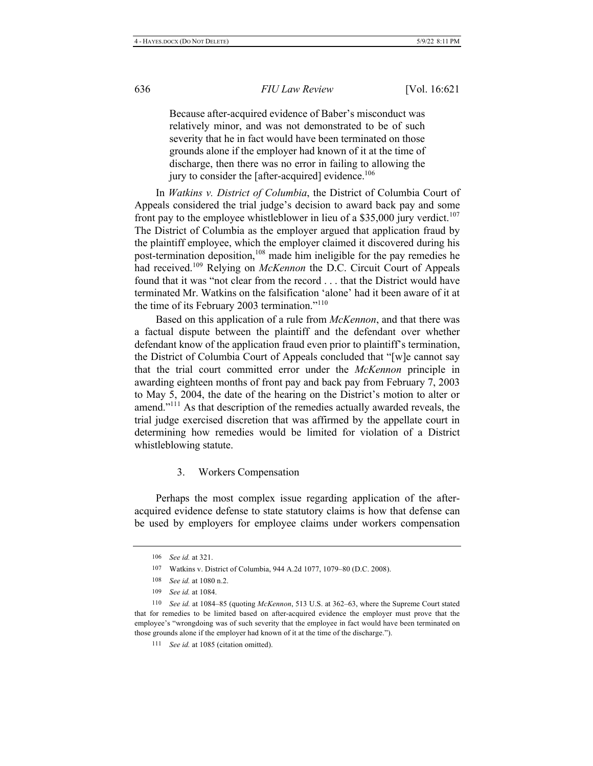Because after-acquired evidence of Baber's misconduct was relatively minor, and was not demonstrated to be of such severity that he in fact would have been terminated on those grounds alone if the employer had known of it at the time of discharge, then there was no error in failing to allowing the jury to consider the [after-acquired] evidence.<sup>106</sup>

In Watkins v. District of Columbia, the District of Columbia Court of Appeals considered the trial judge's decision to award back pay and some front pay to the employee whistleblower in lieu of a \$35,000 jury verdict.<sup>107</sup> The District of Columbia as the employer argued that application fraud by the plaintiff employee, which the employer claimed it discovered during his post-termination deposition,<sup>108</sup> made him ineligible for the pay remedies he had received.<sup>109</sup> Relying on *McKennon* the D.C. Circuit Court of Appeals found that it was "not clear from the record . . . that the District would have terminated Mr. Watkins on the falsification 'alone' had it been aware of it at the time of its February 2003 termination."<sup>110</sup>

Based on this application of a rule from McKennon, and that there was a factual dispute between the plaintiff and the defendant over whether defendant know of the application fraud even prior to plaintiff's termination, the District of Columbia Court of Appeals concluded that "[w]e cannot say that the trial court committed error under the McKennon principle in awarding eighteen months of front pay and back pay from February 7, 2003 to May 5, 2004, the date of the hearing on the District's motion to alter or amend."<sup>111</sup> As that description of the remedies actually awarded reveals, the trial judge exercised discretion that was affirmed by the appellate court in determining how remedies would be limited for violation of a District whistleblowing statute.

### 3. Workers Compensation

Perhaps the most complex issue regarding application of the afteracquired evidence defense to state statutory claims is how that defense can be used by employers for employee claims under workers compensation

<sup>106</sup> *See id.* at 321.

<sup>107</sup> Watkins v. District of Columbia, 944 A.2d 1077, 1079-80 (D.C. 2008).

<sup>108</sup> *See id.* at 1080 n.2.

<sup>109</sup> *See id.* at 1084.

<sup>110</sup> See id. at 1084–85 (quoting McKennon, 513 U.S. at 362–63, where the Supreme Court stated that for remedies to be limited based on after-acquired evidence the employer must prove that the employee's "wrongdoing was of such severity that the employee in fact would have been terminated on those grounds alone if the employer had known of it at the time of the discharge.").

<sup>111</sup> *See id.* at 1085 (citation omitted).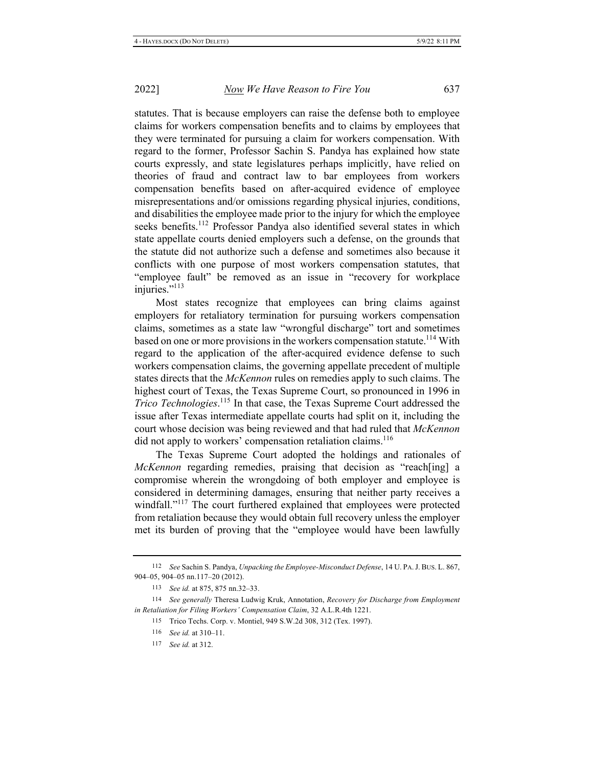statutes. That is because employers can raise the defense both to employee claims for workers compensation benefits and to claims by employees that they were terminated for pursuing a claim for workers compensation. With regard to the former, Professor Sachin S. Pandya has explained how state courts expressly, and state legislatures perhaps implicitly, have relied on theories of fraud and contract law to bar employees from workers compensation benefits based on after-acquired evidence of employee misrepresentations and/or omissions regarding physical injuries, conditions, and disabilities the employee made prior to the injury for which the employee seeks benefits.<sup>112</sup> Professor Pandya also identified several states in which state appellate courts denied employers such a defense, on the grounds that the statute did not authorize such a defense and sometimes also because it conflicts with one purpose of most workers compensation statutes, that "employee fault" be removed as an issue in "recovery for workplace" injuries."<sup>113</sup>

Most states recognize that employees can bring claims against employers for retaliatory termination for pursuing workers compensation claims, sometimes as a state law "wrongful discharge" tort and sometimes based on one or more provisions in the workers compensation statute.<sup>114</sup> With regard to the application of the after-acquired evidence defense to such workers compensation claims, the governing appellate precedent of multiple states directs that the *McKennon* rules on remedies apply to such claims. The highest court of Texas, the Texas Supreme Court, so pronounced in 1996 in Trico Technologies.<sup>115</sup> In that case, the Texas Supreme Court addressed the issue after Texas intermediate appellate courts had split on it, including the court whose decision was being reviewed and that had ruled that McKennon did not apply to workers' compensation retaliation claims.<sup>116</sup>

The Texas Supreme Court adopted the holdings and rationales of McKennon regarding remedies, praising that decision as "reach[ing] a compromise wherein the wrongdoing of both employer and employee is considered in determining damages, ensuring that neither party receives a windfall."<sup>117</sup> The court furthered explained that employees were protected from retaliation because they would obtain full recovery unless the employer met its burden of proving that the "employee would have been lawfully

<sup>112</sup> See Sachin S. Pandya, Unpacking the Employee-Misconduct Defense, 14 U. PA. J. BUS. L. 867, 904-05, 904-05 nn.117-20 (2012).

<sup>113</sup> See id. at 875, 875 nn.32-33.

<sup>114</sup> See generally Theresa Ludwig Kruk, Annotation, Recovery for Discharge from Employment in Retaliation for Filing Workers' Compensation Claim, 32 A.L.R.4th 1221.

<sup>115</sup> Trico Techs. Corp. v. Montiel, 949 S.W.2d 308, 312 (Tex. 1997).

<sup>116</sup> See id. at 310-11.

<sup>117</sup> See id. at 312.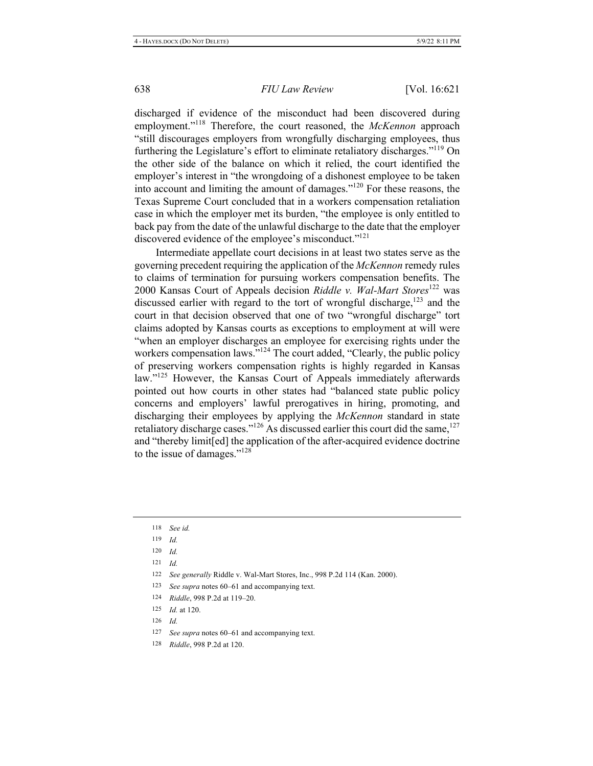discharged if evidence of the misconduct had been discovered during employment."<sup>118</sup> Therefore, the court reasoned, the McKennon approach "still discourages employers from wrongfully discharging employees, thus furthering the Legislature's effort to eliminate retaliatory discharges."<sup>119</sup> On the other side of the balance on which it relied, the court identified the employer's interest in "the wrongdoing of a dishonest employee to be taken into account and limiting the amount of damages."<sup>120</sup> For these reasons, the Texas Supreme Court concluded that in a workers compensation retaliation case in which the employer met its burden, "the employee is only entitled to back pay from the date of the unlawful discharge to the date that the employer discovered evidence of the employee's misconduct."<sup>121</sup>

Intermediate appellate court decisions in at least two states serve as the governing precedent requiring the application of the McKennon remedy rules to claims of termination for pursuing workers compensation benefits. The 2000 Kansas Court of Appeals decision Riddle v. Wal-Mart Stores<sup>122</sup> was discussed earlier with regard to the tort of wrongful discharge,<sup>123</sup> and the court in that decision observed that one of two "wrongful discharge" tort claims adopted by Kansas courts as exceptions to employment at will were "when an employer discharges an employee for exercising rights under the workers compensation laws."<sup>124</sup> The court added, "Clearly, the public policy of preserving workers compensation rights is highly regarded in Kansas law."<sup>125</sup> However, the Kansas Court of Appeals immediately afterwards pointed out how courts in other states had "balanced state public policy concerns and employers' lawful prerogatives in hiring, promoting, and discharging their employees by applying the McKennon standard in state retaliatory discharge cases." $^{126}$  As discussed earlier this court did the same,  $^{127}$ and "thereby limit[ed] the application of the after-acquired evidence doctrine to the issue of damages."<sup>128</sup>

- 124 Riddle, 998 P.2d at 119-20.
- 125 *Id.* at 120.
- 126  $Id$
- 127 See supra notes 60–61 and accompanying text.
- 128 Riddle, 998 P.2d at 120.

<sup>118</sup> See id.

<sup>119</sup> Id.

<sup>120</sup> Id.

<sup>121</sup>  $Id$ 

<sup>122</sup> See generally Riddle v. Wal-Mart Stores, Inc., 998 P.2d 114 (Kan. 2000).

<sup>123</sup> See supra notes 60–61 and accompanying text.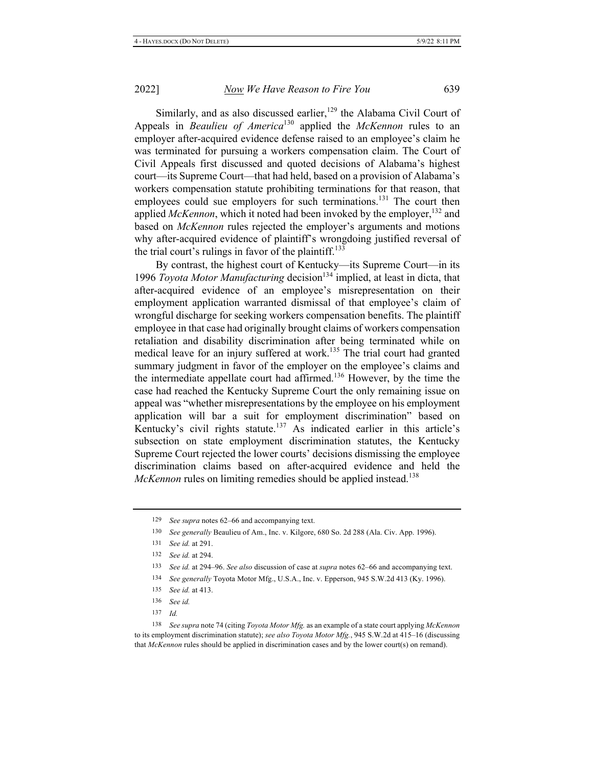Similarly, and as also discussed earlier,<sup>129</sup> the Alabama Civil Court of Appeals in Beaulieu of America<sup>130</sup> applied the McKennon rules to an employer after-acquired evidence defense raised to an employee's claim he was terminated for pursuing a workers compensation claim. The Court of Civil Appeals first discussed and quoted decisions of Alabama's highest court—its Supreme Court—that had held, based on a provision of Alabama's workers compensation statute prohibiting terminations for that reason, that employees could sue employers for such terminations.<sup>131</sup> The court then applied McKennon, which it noted had been invoked by the employer,  $^{132}$  and based on McKennon rules rejected the employer's arguments and motions why after-acquired evidence of plaintiff's wrongdoing justified reversal of the trial court's rulings in favor of the plaintiff.<sup>133</sup>

By contrast, the highest court of Kentucky-its Supreme Court-in its 1996 Toyota Motor Manufacturing decision<sup>134</sup> implied, at least in dicta, that after-acquired evidence of an employee's misrepresentation on their employment application warranted dismissal of that employee's claim of wrongful discharge for seeking workers compensation benefits. The plaintiff employee in that case had originally brought claims of workers compensation retaliation and disability discrimination after being terminated while on medical leave for an injury suffered at work.<sup>135</sup> The trial court had granted summary judgment in favor of the employer on the employee's claims and the intermediate appellate court had affirmed.<sup>136</sup> However, by the time the case had reached the Kentucky Supreme Court the only remaining issue on appeal was "whether misrepresentations by the employee on his employment application will bar a suit for employment discrimination" based on Kentucky's civil rights statute.<sup>137</sup> As indicated earlier in this article's subsection on state employment discrimination statutes, the Kentucky Supreme Court rejected the lower courts' decisions dismissing the employee discrimination claims based on after-acquired evidence and held the McKennon rules on limiting remedies should be applied instead.<sup>138</sup>

<sup>129</sup> See supra notes 62-66 and accompanying text.

<sup>130</sup> See generally Beaulieu of Am., Inc. v. Kilgore, 680 So. 2d 288 (Ala. Civ. App. 1996).

<sup>131</sup> See id. at 291.

<sup>132</sup> See id. at 294.

<sup>133</sup> See id. at 294–96. See also discussion of case at supra notes 62–66 and accompanying text.

<sup>134</sup> See generally Toyota Motor Mfg., U.S.A., Inc. v. Epperson, 945 S.W.2d 413 (Ky. 1996).

<sup>135</sup> See id. at 413.

<sup>136</sup> See id.

<sup>137</sup>  $Id$ 

<sup>138</sup> See supra note 74 (citing Toyota Motor Mfg. as an example of a state court applying McKennon to its employment discrimination statute); see also Toyota Motor Mfg., 945 S.W.2d at 415-16 (discussing that  $McKennon$  rules should be applied in discrimination cases and by the lower court(s) on remand).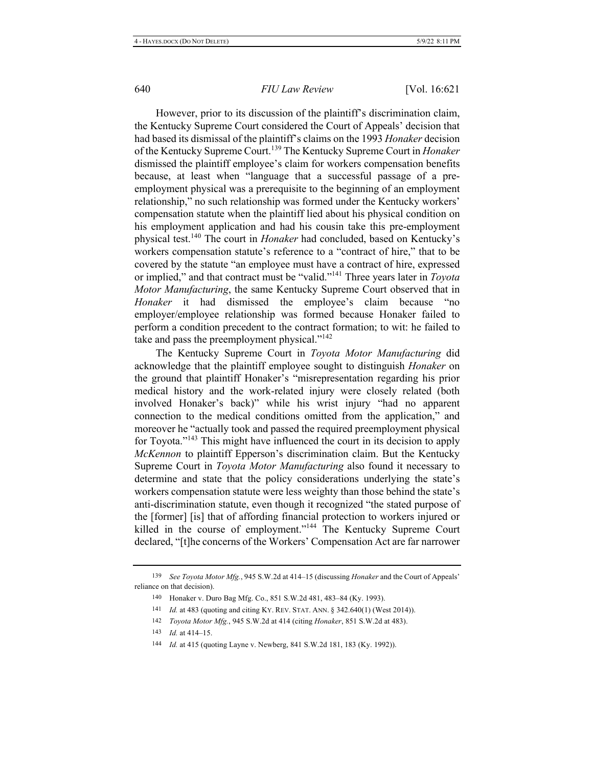However, prior to its discussion of the plaintiff's discrimination claim, the Kentucky Supreme Court considered the Court of Appeals' decision that had based its dismissal of the plaintiff's claims on the 1993 Honaker decision of the Kentucky Supreme Court.<sup>139</sup> The Kentucky Supreme Court in *Honaker* dismissed the plaintiff employee's claim for workers compensation benefits because, at least when "language that a successful passage of a preemployment physical was a prerequisite to the beginning of an employment relationship," no such relationship was formed under the Kentucky workers' compensation statute when the plaintiff lied about his physical condition on his employment application and had his cousin take this pre-employment physical test.<sup>140</sup> The court in *Honaker* had concluded, based on Kentucky's workers compensation statute's reference to a "contract of hire," that to be covered by the statute "an employee must have a contract of hire, expressed or implied," and that contract must be "valid."<sup>141</sup> Three years later in *Toyota Motor Manufacturing*, the same Kentucky Supreme Court observed that in Honaker it had dismissed the employee's claim because "no employer/employee relationship was formed because Honaker failed to perform a condition precedent to the contract formation; to wit: he failed to take and pass the preemployment physical." $142$ 

The Kentucky Supreme Court in *Toyota Motor Manufacturing* did acknowledge that the plaintiff employee sought to distinguish *Honaker* on the ground that plaintiff Honaker's "misrepresentation regarding his prior medical history and the work-related injury were closely related (both involved Honaker's back)" while his wrist injury "had no apparent connection to the medical conditions omitted from the application," and moreover he "actually took and passed the required preemployment physical for Toyota."<sup>143</sup> This might have influenced the court in its decision to apply *McKennon* to plaintiff Epperson's discrimination claim. But the Kentucky Supreme Court in *Toyota Motor Manufacturing* also found it necessary to determine and state that the policy considerations underlying the state's workers compensation statute were less weighty than those behind the state's anti-discrimination statute, even though it recognized "the stated purpose of the [former] [is] that of affording financial protection to workers injured or killed in the course of employment."<sup>144</sup> The Kentucky Supreme Court declared, "[t]he concerns of the Workers' Compensation Act are far narrower

<sup>139</sup> See Toyota Motor Mfg., 945 S.W.2d at 414–15 (discussing *Honaker* and the Court of Appeals' reliance on that decision).

<sup>140</sup> Honaker v. Duro Bag Mfg. Co., 851 S.W.2d 481, 483-84 (Ky. 1993).

<sup>141</sup> *Id.* at 483 (quoting and citing KY. REV. STAT. ANN. § 342.640(1) (West 2014)).

<sup>142</sup> Toyota Motor Mfg., 945 S.W.2d at 414 (citing *Honaker*, 851 S.W.2d at 483).

 $143$  *Id.* at 414–15.

<sup>144</sup> *Id.* at 415 (quoting Layne v. Newberg, 841 S.W.2d 181, 183 (Ky. 1992)).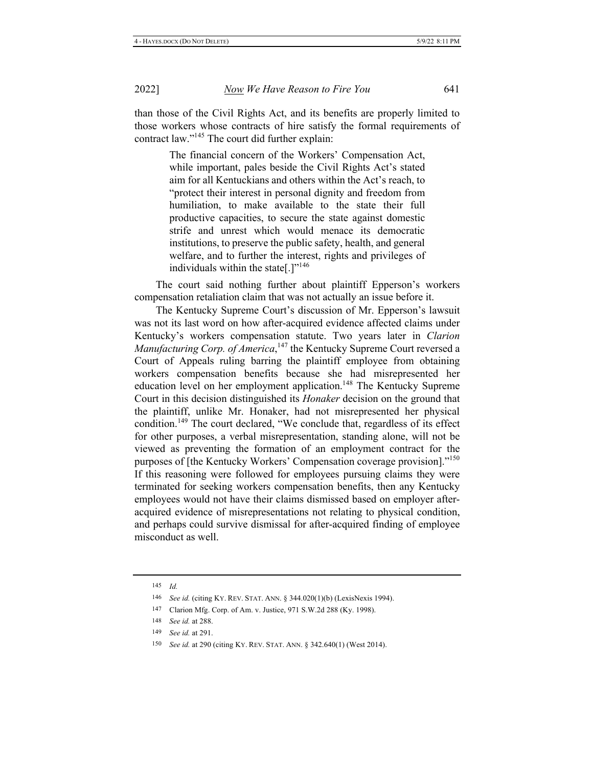than those of the Civil Rights Act, and its benefits are properly limited to those workers whose contracts of hire satisfy the formal requirements of contract law."<sup>145</sup> The court did further explain:

> The financial concern of the Workers' Compensation Act, while important, pales beside the Civil Rights Act's stated aim for all Kentuckians and others within the Act's reach, to "protect their interest in personal dignity and freedom from humiliation, to make available to the state their full productive capacities, to secure the state against domestic strife and unrest which would menace its democratic institutions, to preserve the public safety, health, and general welfare, and to further the interest, rights and privileges of individuals within the state[.]"<sup>146</sup>

The court said nothing further about plaintiff Epperson's workers compensation retaliation claim that was not actually an issue before it.

The Kentucky Supreme Court's discussion of Mr. Epperson's lawsuit was not its last word on how after-acquired evidence affected claims under Kentucky's workers compensation statute. Two years later in Clarion Manufacturing Corp. of America, 147 the Kentucky Supreme Court reversed a Court of Appeals ruling barring the plaintiff employee from obtaining workers compensation benefits because she had misrepresented her education level on her employment application.<sup>148</sup> The Kentucky Supreme Court in this decision distinguished its *Honaker* decision on the ground that the plaintiff, unlike Mr. Honaker, had not misrepresented her physical condition.<sup>149</sup> The court declared, "We conclude that, regardless of its effect for other purposes, a verbal misrepresentation, standing alone, will not be viewed as preventing the formation of an employment contract for the purposes of [the Kentucky Workers' Compensation coverage provision]."<sup>150</sup> If this reasoning were followed for employees pursuing claims they were terminated for seeking workers compensation benefits, then any Kentucky employees would not have their claims dismissed based on employer afteracquired evidence of misrepresentations not relating to physical condition, and perhaps could survive dismissal for after-acquired finding of employee misconduct as well.

<sup>145</sup>  $Id$ 

<sup>146</sup> See id. (citing KY. REV. STAT. ANN. § 344.020(1)(b) (LexisNexis 1994).

<sup>147</sup> Clarion Mfg. Corp. of Am. v. Justice, 971 S.W.2d 288 (Ky. 1998).

<sup>148</sup> *See id.* at 288.

<sup>149</sup> See id. at 291.

<sup>150</sup> See id. at 290 (citing KY. REV. STAT. ANN. § 342.640(1) (West 2014).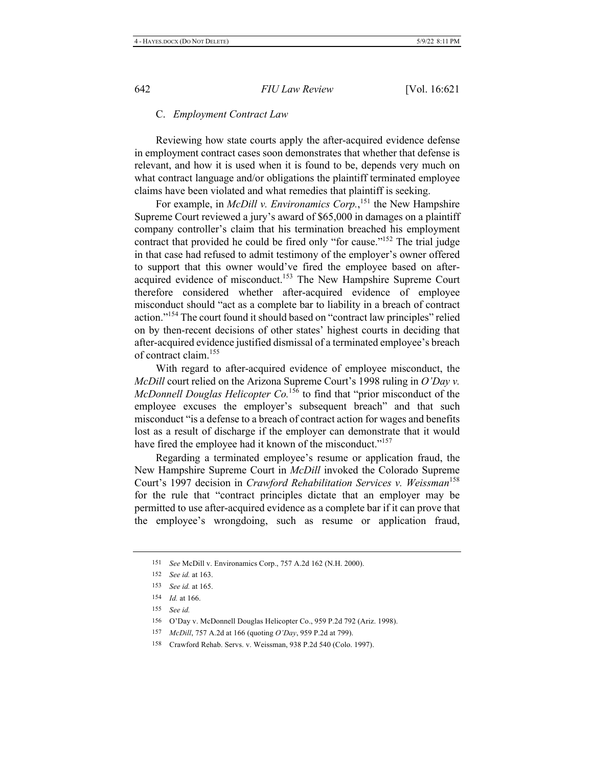#### C. Employment Contract Law

Reviewing how state courts apply the after-acquired evidence defense in employment contract cases soon demonstrates that whether that defense is relevant, and how it is used when it is found to be, depends very much on what contract language and/or obligations the plaintiff terminated employee claims have been violated and what remedies that plaintiff is seeking.

For example, in *McDill v. Environamics Corp.*,<sup>151</sup> the New Hampshire Supreme Court reviewed a jury's award of \$65,000 in damages on a plaintiff company controller's claim that his termination breached his employment contract that provided he could be fired only "for cause."<sup>152</sup> The trial judge in that case had refused to admit testimony of the employer's owner offered to support that this owner would've fired the employee based on afteracquired evidence of misconduct.<sup>153</sup> The New Hampshire Supreme Court therefore considered whether after-acquired evidence of employee misconduct should "act as a complete bar to liability in a breach of contract action."<sup>154</sup> The court found it should based on "contract law principles" relied on by then-recent decisions of other states' highest courts in deciding that after-acquired evidence justified dismissal of a terminated employee's breach of contract claim.<sup>155</sup>

With regard to after-acquired evidence of employee misconduct, the McDill court relied on the Arizona Supreme Court's 1998 ruling in O'Day v. McDonnell Douglas Helicopter  $Co^{156}$  to find that "prior misconduct of the employee excuses the employer's subsequent breach" and that such misconduct "is a defense to a breach of contract action for wages and benefits lost as a result of discharge if the employer can demonstrate that it would have fired the employee had it known of the misconduct."<sup>157</sup>

Regarding a terminated employee's resume or application fraud, the New Hampshire Supreme Court in McDill invoked the Colorado Supreme Court's 1997 decision in Crawford Rehabilitation Services v. Weissman<sup>158</sup> for the rule that "contract principles dictate that an employer may be permitted to use after-acquired evidence as a complete bar if it can prove that the employee's wrongdoing, such as resume or application fraud,

<sup>151</sup> See McDill v. Environamics Corp., 757 A.2d 162 (N.H. 2000).

<sup>152</sup> See id. at 163.

<sup>153</sup> See id. at 165.

<sup>154</sup>  $Id.$  at 166.

<sup>155</sup> See id.

<sup>156</sup> O'Day v. McDonnell Douglas Helicopter Co., 959 P.2d 792 (Ariz. 1998).

<sup>157</sup> McDill, 757 A.2d at 166 (quoting O'Day, 959 P.2d at 799).

<sup>158</sup> Crawford Rehab. Servs. v. Weissman, 938 P.2d 540 (Colo. 1997).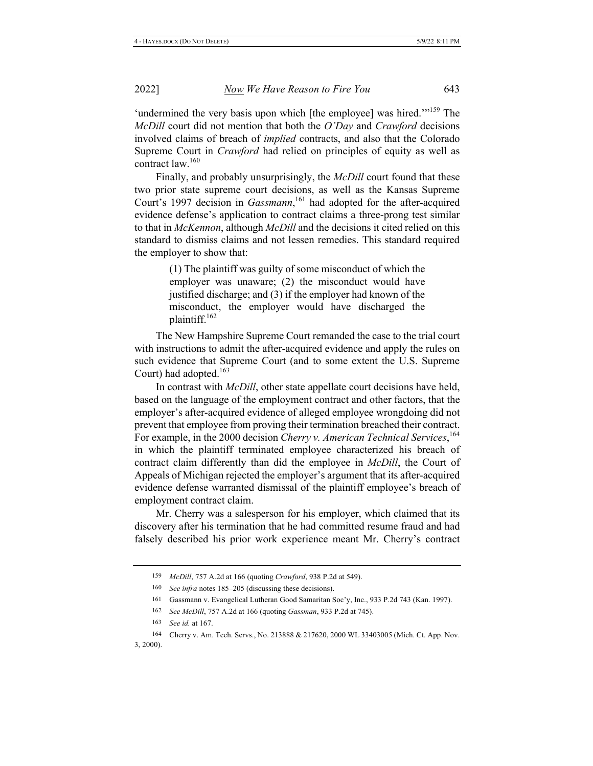'undermined the very basis upon which [the employee] was hired."<sup>159</sup> The *McDill* court did not mention that both the O'Day and Crawford decisions involved claims of breach of *implied* contracts, and also that the Colorado Supreme Court in *Crawford* had relied on principles of equity as well as contract law.<sup>160</sup>

Finally, and probably unsurprisingly, the *McDill* court found that these two prior state supreme court decisions, as well as the Kansas Supreme Court's 1997 decision in *Gassmann*,<sup>161</sup> had adopted for the after-acquired evidence defense's application to contract claims a three-prong test similar to that in McKennon, although McDill and the decisions it cited relied on this standard to dismiss claims and not lessen remedies. This standard required the employer to show that:

> $(1)$  The plaintiff was guilty of some misconduct of which the employer was unaware;  $(2)$  the misconduct would have justified discharge; and  $(3)$  if the employer had known of the misconduct, the employer would have discharged the plaintiff. $162$

The New Hampshire Supreme Court remanded the case to the trial court with instructions to admit the after-acquired evidence and apply the rules on such evidence that Supreme Court (and to some extent the U.S. Supreme Court) had adopted.<sup>163</sup>

In contrast with *McDill*, other state appellate court decisions have held, based on the language of the employment contract and other factors, that the employer's after-acquired evidence of alleged employee wrongdoing did not prevent that employee from proving their termination breached their contract. For example, in the 2000 decision Cherry v. American Technical Services, <sup>164</sup> in which the plaintiff terminated employee characterized his breach of contract claim differently than did the employee in *McDill*, the Court of Appeals of Michigan rejected the employer's argument that its after-acquired evidence defense warranted dismissal of the plaintiff employee's breach of employment contract claim.

Mr. Cherry was a salesperson for his employer, which claimed that its discovery after his termination that he had committed resume fraud and had falsely described his prior work experience meant Mr. Cherry's contract

<sup>159</sup> *McDill*, 757 A.2d at 166 (quoting *Crawford*, 938 P.2d at 549).

<sup>160</sup> See infra notes 185–205 (discussing these decisions).

<sup>161</sup> Gassmann v. Evangelical Lutheran Good Samaritan Soc'y, Inc., 933 P.2d 743 (Kan. 1997).

<sup>162</sup> See McDill, 757 A.2d at 166 (quoting Gassman, 933 P.2d at 745).

<sup>163</sup> *See id.* at 167.

<sup>164</sup> Cherry v. Am. Tech. Servs., No. 213888 & 217620, 2000 WL 33403005 (Mich. Ct. App. Nov.  $3, 2000$ ).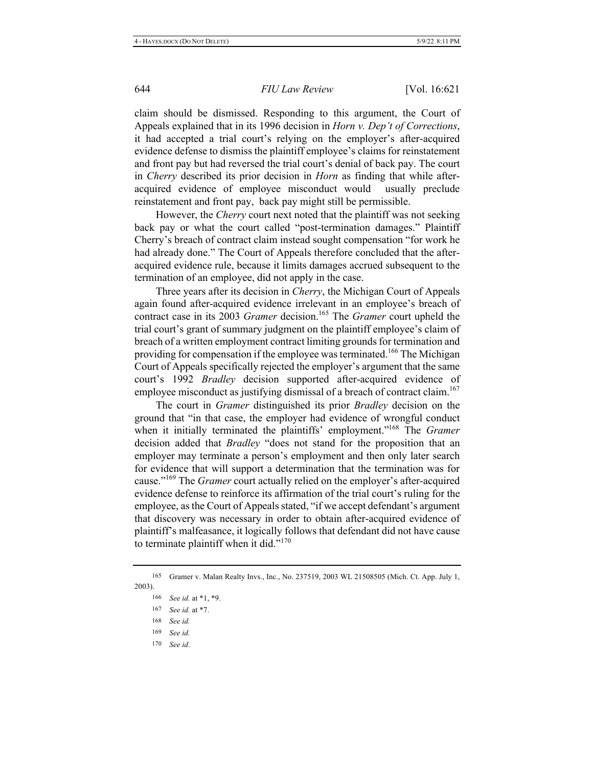claim should be dismissed. Responding to this argument, the Court of Appeals explained that in its 1996 decision in *Horn v. Dep't of Corrections*, it had accepted a trial court's relying on the employer's after-acquired evidence defense to dismiss the plaintiff employee's claims for reinstatement and front pay but had reversed the trial court's denial of back pay. The court in *Cherry* described its prior decision in *Horn* as finding that while afteracquired evidence of employee misconduct would usually preclude reinstatement and front pay, back pay might still be permissible.

However, the Cherry court next noted that the plaintiff was not seeking back pay or what the court called "post-termination damages." Plaintiff Cherry's breach of contract claim instead sought compensation "for work he had already done." The Court of Appeals therefore concluded that the afteracquired evidence rule, because it limits damages accrued subsequent to the termination of an employee, did not apply in the case.

Three years after its decision in *Cherry*, the Michigan Court of Appeals again found after-acquired evidence irrelevant in an employee's breach of contract case in its 2003 Gramer decision.<sup>165</sup> The Gramer court upheld the trial court's grant of summary judgment on the plaintiff employee's claim of breach of a written employment contract limiting grounds for termination and providing for compensation if the employee was terminated.<sup>166</sup> The Michigan Court of Appeals specifically rejected the employer's argument that the same court's 1992 Bradley decision supported after-acquired evidence of employee misconduct as justifying dismissal of a breach of contract claim.<sup>167</sup>

The court in *Gramer* distinguished its prior *Bradley* decision on the ground that "in that case, the employer had evidence of wrongful conduct when it initially terminated the plaintiffs' employment."<sup>168</sup> The Gramer decision added that *Bradley* "does not stand for the proposition that an employer may terminate a person's employment and then only later search for evidence that will support a determination that the termination was for cause."<sup>169</sup> The Gramer court actually relied on the employer's after-acquired evidence defense to reinforce its affirmation of the trial court's ruling for the employee, as the Court of Appeals stated, "if we accept defendant's argument that discovery was necessary in order to obtain after-acquired evidence of plaintiff's malfeasance, it logically follows that defendant did not have cause to terminate plaintiff when it did."<sup>170</sup>

 $170$  See id.

<sup>165</sup> Gramer v. Malan Realty Invs., Inc., No. 237519, 2003 WL 21508505 (Mich. Ct. App. July 1,  $2003$ ).

<sup>166</sup> See id. at \*1, \*9.

<sup>167</sup> See id. at \*7.

<sup>168</sup> See id.

<sup>169</sup> See id.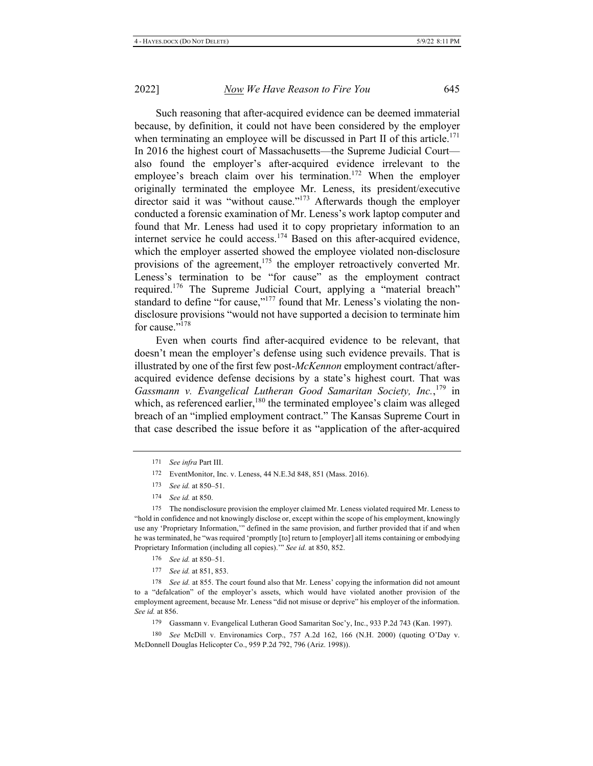Such reasoning that after-acquired evidence can be deemed immaterial because, by definition, it could not have been considered by the employer when terminating an employee will be discussed in Part II of this article.<sup>171</sup> In 2016 the highest court of Massachusetts—the Supreme Judicial Court also found the employer's after-acquired evidence irrelevant to the employee's breach claim over his termination.<sup>172</sup> When the employer originally terminated the employee Mr. Leness, its president/executive director said it was "without cause."<sup>173</sup> Afterwards though the employer conducted a forensic examination of Mr. Leness's work laptop computer and found that Mr. Leness had used it to copy proprietary information to an internet service he could access.<sup>174</sup> Based on this after-acquired evidence, which the employer asserted showed the employee violated non-disclosure provisions of the agreement,<sup>175</sup> the employer retroactively converted Mr. Leness's termination to be "for cause" as the employment contract required.<sup>176</sup> The Supreme Judicial Court, applying a "material breach" standard to define "for cause,"<sup>177</sup> found that Mr. Leness's violating the nondisclosure provisions "would not have supported a decision to terminate him for cause."<sup>178</sup>

Even when courts find after-acquired evidence to be relevant, that doesn't mean the employer's defense using such evidence prevails. That is illustrated by one of the first few post-McKennon employment contract/afteracquired evidence defense decisions by a state's highest court. That was Gassmann v. Evangelical Lutheran Good Samaritan Society, Inc.,<sup>179</sup> in which, as referenced earlier,<sup>180</sup> the terminated employee's claim was alleged breach of an "implied employment contract." The Kansas Supreme Court in that case described the issue before it as "application of the after-acquired

- 172 EventMonitor, Inc. v. Leness, 44 N.E.3d 848, 851 (Mass. 2016).
- 173 See id. at 850-51.
- 174 See id. at 850.

175 The nondisclosure provision the employer claimed Mr. Leness violated required Mr. Leness to "hold in confidence and not knowingly disclose or, except within the scope of his employment, knowingly use any 'Proprietary Information," defined in the same provision, and further provided that if and when he was terminated, he "was required 'promptly [to] return to [employer] all items containing or embodying Proprietary Information (including all copies)." See id. at 850, 852.

- 176 See id. at 850-51.
- 177 See id. at 851, 853.

178 See id. at 855. The court found also that Mr. Leness' copying the information did not amount to a "defalcation" of the employer's assets, which would have violated another provision of the employment agreement, because Mr. Leness "did not misuse or deprive" his employer of the information. See id. at 856.

179 Gassmann v. Evangelical Lutheran Good Samaritan Soc'y, Inc., 933 P.2d 743 (Kan. 1997).

180 See McDill v. Environamics Corp., 757 A.2d 162, 166 (N.H. 2000) (quoting O'Day v. McDonnell Douglas Helicopter Co., 959 P.2d 792, 796 (Ariz. 1998)).

<sup>171</sup> See infra Part III.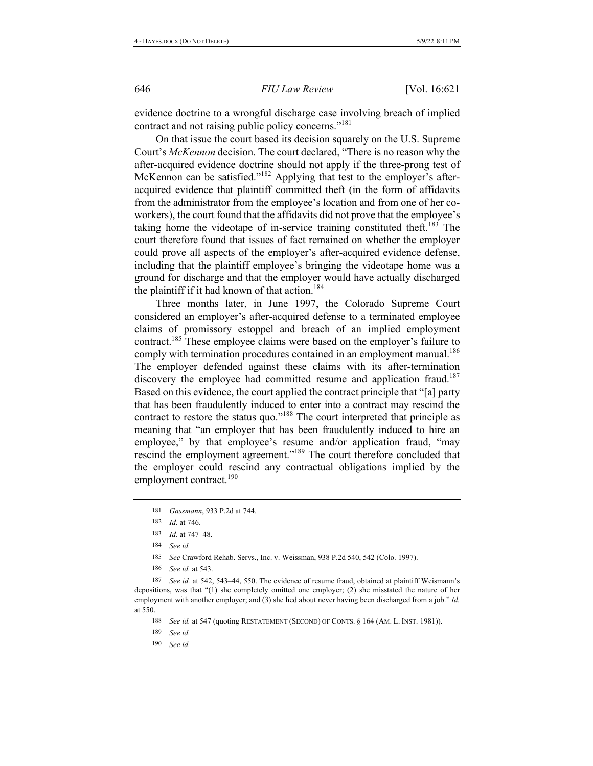evidence doctrine to a wrongful discharge case involving breach of implied contract and not raising public policy concerns."<sup>181</sup>

On that issue the court based its decision squarely on the U.S. Supreme Court's McKennon decision. The court declared, "There is no reason why the after-acquired evidence doctrine should not apply if the three-prong test of McKennon can be satisfied."<sup>182</sup> Applying that test to the employer's afteracquired evidence that plaintiff committed theft (in the form of affidavits from the administrator from the employee's location and from one of her coworkers), the court found that the affidavits did not prove that the employee's taking home the videotape of in-service training constituted theft.<sup>183</sup> The court therefore found that issues of fact remained on whether the employer could prove all aspects of the employer's after-acquired evidence defense, including that the plaintiff employee's bringing the videotape home was a ground for discharge and that the employer would have actually discharged the plaintiff if it had known of that action.<sup>184</sup>

Three months later, in June 1997, the Colorado Supreme Court considered an employer's after-acquired defense to a terminated employee claims of promissory estoppel and breach of an implied employment contract.<sup>185</sup> These employee claims were based on the employer's failure to comply with termination procedures contained in an employment manual.<sup>186</sup> The employer defended against these claims with its after-termination discovery the employee had committed resume and application fraud.<sup>187</sup> Based on this evidence, the court applied the contract principle that "[a] party that has been fraudulently induced to enter into a contract may rescind the contract to restore the status quo."<sup>188</sup> The court interpreted that principle as meaning that "an employer that has been fraudulently induced to hire an employee," by that employee's resume and/or application fraud, "may rescind the employment agreement."<sup>189</sup> The court therefore concluded that the employer could rescind any contractual obligations implied by the employment contract.<sup>190</sup>

184 See id.

185 See Crawford Rehab. Servs., Inc. v. Weissman, 938 P.2d 540, 542 (Colo. 1997).

186 See id. at 543.

187 See id. at 542, 543-44, 550. The evidence of resume fraud, obtained at plaintiff Weismann's depositions, was that " $(1)$  she completely omitted one employer;  $(2)$  she misstated the nature of her employment with another employer; and (3) she lied about never having been discharged from a job." Id. at 550.

189 See id.

190 See id.

<sup>181</sup> Gassmann, 933 P.2d at 744.

<sup>182</sup> *Id.* at 746.

<sup>183</sup> *Id.* at 747-48.

<sup>188</sup> See id. at 547 (quoting RESTATEMENT (SECOND) OF CONTS. § 164 (AM. L. INST. 1981)).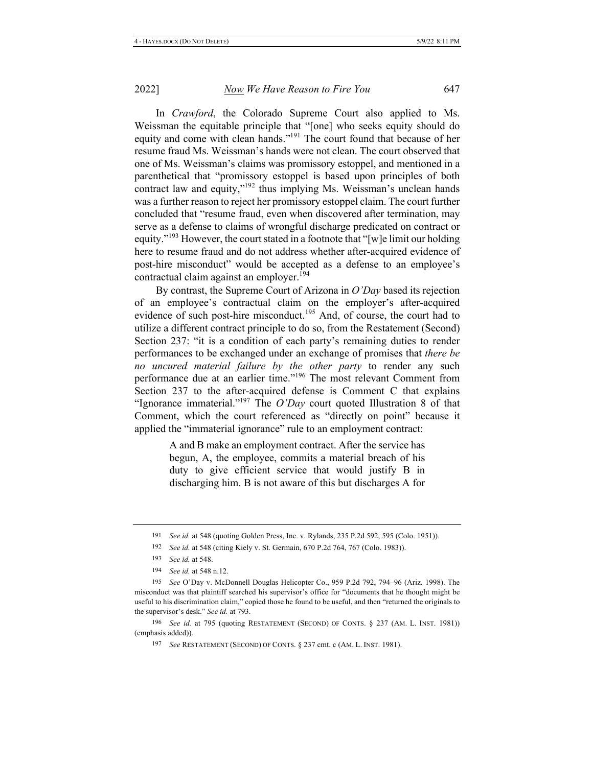In *Crawford*, the Colorado Supreme Court also applied to Ms. Weissman the equitable principle that "[one] who seeks equity should do equity and come with clean hands."<sup>191</sup> The court found that because of her resume fraud Ms. Weissman's hands were not clean. The court observed that one of Ms. Weissman's claims was promissory estoppel, and mentioned in a parenthetical that "promissory estoppel is based upon principles of both contract law and equity," $192$  thus implying Ms. Weissman's unclean hands was a further reason to reject her promissory estoppel claim. The court further concluded that "resume fraud, even when discovered after termination, may serve as a defense to claims of wrongful discharge predicated on contract or equity."<sup>193</sup> However, the court stated in a footnote that "[w]e limit our holding here to resume fraud and do not address whether after-acquired evidence of post-hire misconduct" would be accepted as a defense to an employee's contractual claim against an employer.<sup>194</sup>

By contrast, the Supreme Court of Arizona in O'Day based its rejection of an employee's contractual claim on the employer's after-acquired evidence of such post-hire misconduct.<sup>195</sup> And, of course, the court had to utilize a different contract principle to do so, from the Restatement (Second) Section 237: "it is a condition of each party's remaining duties to render performances to be exchanged under an exchange of promises that *there be no uncured material failure by the other party* to render any such performance due at an earlier time."<sup>196</sup> The most relevant Comment from Section 237 to the after-acquired defense is Comment C that explains "Ignorance immaterial."<sup>197</sup> The  $O'Day$  court quoted Illustration 8 of that Comment, which the court referenced as "directly on point" because it applied the "immaterial ignorance" rule to an employment contract:

> A and B make an employment contract. After the service has begun, A, the employee, commits a material breach of his duty to give efficient service that would justify  $B$  in discharging him. B is not aware of this but discharges  $A$  for

196 See id. at 795 (quoting RESTATEMENT (SECOND) OF CONTS. § 237 (AM. L. INST. 1981)) (emphasis added)).

<sup>191</sup> See id. at 548 (quoting Golden Press, Inc. v. Rylands, 235 P.2d 592, 595 (Colo. 1951)).

<sup>192</sup> See id. at 548 (citing Kiely v. St. Germain, 670 P.2d 764, 767 (Colo. 1983)).

<sup>193</sup> *See id.* at 548.

<sup>194</sup> *See id.* at 548 n.12.

<sup>195</sup> See O'Day v. McDonnell Douglas Helicopter Co., 959 P.2d 792, 794-96 (Ariz. 1998). The misconduct was that plaintiff searched his supervisor's office for "documents that he thought might be useful to his discrimination claim," copied those he found to be useful, and then "returned the originals to the supervisor's desk." See id. at 793.

<sup>&</sup>lt;sup>197</sup> See RESTATEMENT (SECOND) OF CONTS. § 237 cmt. c (AM. L. INST. 1981).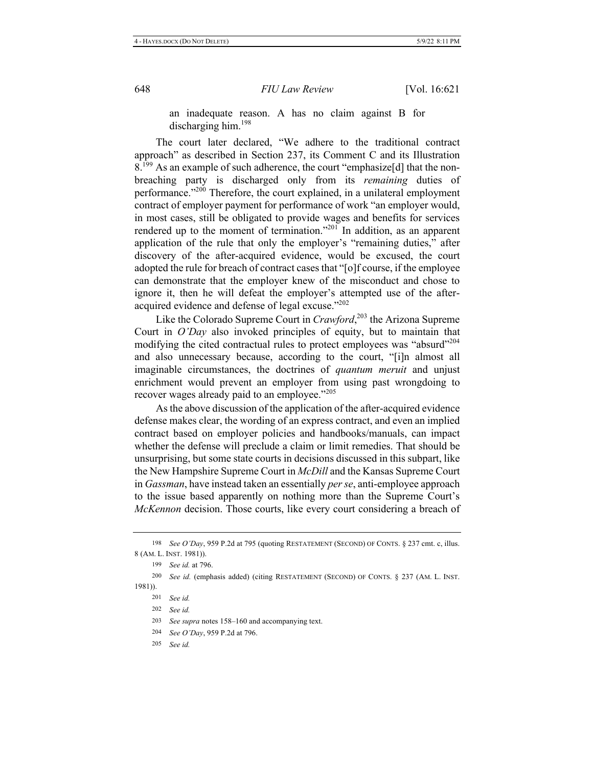an inadequate reason. A has no claim against B for discharging him.<sup>198</sup>

The court later declared, "We adhere to the traditional contract approach" as described in Section 237, its Comment C and its Illustration  $8.^{199}$  As an example of such adherence, the court "emphasize [d] that the nonbreaching party is discharged only from its remaining duties of performance."<sup>200</sup> Therefore, the court explained, in a unilateral employment contract of employer payment for performance of work "an employer would, in most cases, still be obligated to provide wages and benefits for services rendered up to the moment of termination."<sup>201</sup> In addition, as an apparent application of the rule that only the employer's "remaining duties," after discovery of the after-acquired evidence, would be excused, the court adopted the rule for breach of contract cases that "[o]f course, if the employee can demonstrate that the employer knew of the misconduct and chose to ignore it, then he will defeat the employer's attempted use of the afteracquired evidence and defense of legal excuse."<sup>202</sup>

Like the Colorado Supreme Court in Crawford,<sup>203</sup> the Arizona Supreme Court in  $O'Day$  also invoked principles of equity, but to maintain that modifying the cited contractual rules to protect employees was "absurd"<sup>204</sup> and also unnecessary because, according to the court, "[i]n almost all imaginable circumstances, the doctrines of quantum meruit and unjust enrichment would prevent an employer from using past wrongdoing to recover wages already paid to an employee."205

As the above discussion of the application of the after-acquired evidence defense makes clear, the wording of an express contract, and even an implied contract based on employer policies and handbooks/manuals, can impact whether the defense will preclude a claim or limit remedies. That should be unsurprising, but some state courts in decisions discussed in this subpart, like the New Hampshire Supreme Court in McDill and the Kansas Supreme Court in Gassman, have instead taken an essentially per se, anti-employee approach to the issue based apparently on nothing more than the Supreme Court's McKennon decision. Those courts, like every court considering a breach of

199 See id. at 796.

<sup>198</sup> See O'Day, 959 P.2d at 795 (quoting RESTATEMENT (SECOND) OF CONTS. § 237 cmt. c, illus. 8 (AM. L. INST. 1981)).

<sup>200</sup> See id. (emphasis added) (citing RESTATEMENT (SECOND) OF CONTS. § 237 (AM. L. INST.  $1981$ ).

<sup>201</sup> See id.

<sup>202</sup> See id.

<sup>203</sup> See supra notes 158-160 and accompanying text.

<sup>204</sup> See O'Day, 959 P.2d at 796.

<sup>205</sup> See id.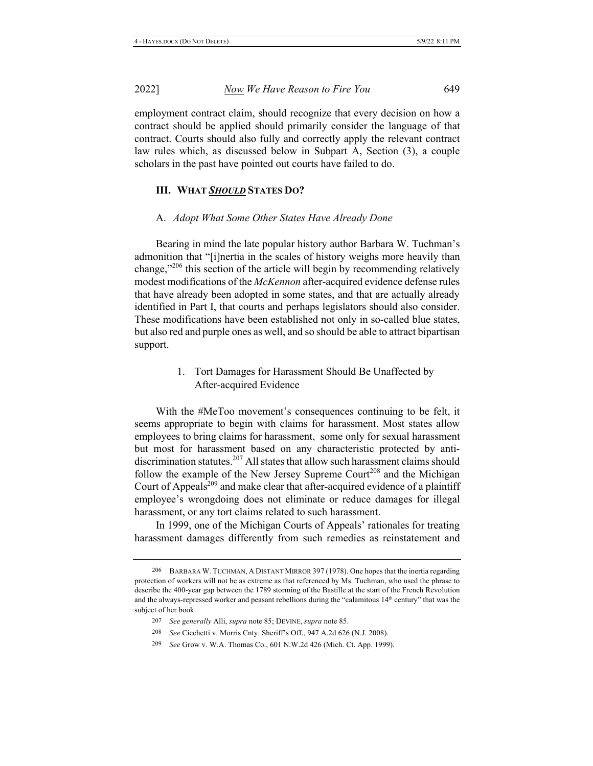2022]

employment contract claim, should recognize that every decision on how a contract should be applied should primarily consider the language of that contract. Courts should also fully and correctly apply the relevant contract law rules which, as discussed below in Subpart A, Section (3), a couple scholars in the past have pointed out courts have failed to do.

### **III. WHAT SHOULD STATES DO?**

#### A. Adopt What Some Other States Have Already Done

Bearing in mind the late popular history author Barbara W. Tuchman's admonition that "[i] nertia in the scales of history weighs more heavily than change," $^{206}$  this section of the article will begin by recommending relatively modest modifications of the McKennon after-acquired evidence defense rules that have already been adopted in some states, and that are actually already identified in Part I, that courts and perhaps legislators should also consider. These modifications have been established not only in so-called blue states, but also red and purple ones as well, and so should be able to attract bipartisan support.

> 1. Tort Damages for Harassment Should Be Unaffected by After-acquired Evidence

With the #MeToo movement's consequences continuing to be felt, it seems appropriate to begin with claims for harassment. Most states allow employees to bring claims for harassment, some only for sexual harassment but most for harassment based on any characteristic protected by antidiscrimination statutes.<sup>207</sup> All states that allow such harassment claims should follow the example of the New Jersey Supreme Court<sup>208</sup> and the Michigan Court of Appeals<sup>209</sup> and make clear that after-acquired evidence of a plaintiff employee's wrongdoing does not eliminate or reduce damages for illegal harassment, or any tort claims related to such harassment.

In 1999, one of the Michigan Courts of Appeals' rationales for treating harassment damages differently from such remedies as reinstatement and

209 See Grow v. W.A. Thomas Co., 601 N.W.2d 426 (Mich. Ct. App. 1999).

<sup>206</sup> BARBARA W. TUCHMAN, A DISTANT MIRROR 397 (1978). One hopes that the inertia regarding protection of workers will not be as extreme as that referenced by Ms. Tuchman, who used the phrase to describe the 400-year gap between the 1789 storming of the Bastille at the start of the French Revolution and the always-repressed worker and peasant rebellions during the "calamitous 14<sup>th</sup> century" that was the subject of her book.

<sup>207</sup> See generally Alli, supra note 85; DEVINE, supra note 85.

<sup>208</sup> See Cicchetti v. Morris Cnty. Sheriff's Off., 947 A.2d 626 (N.J. 2008).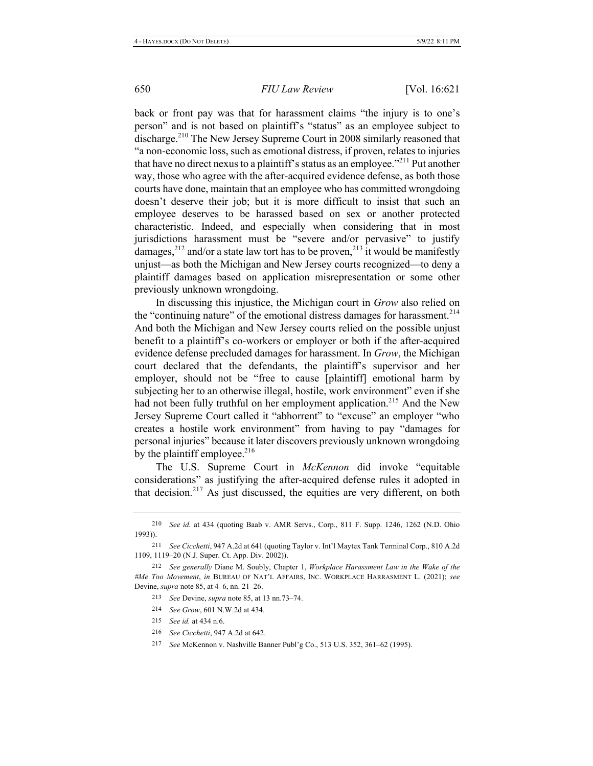back or front pay was that for harassment claims "the injury is to one's person" and is not based on plaintiff's "status" as an employee subject to discharge.<sup>210</sup> The New Jersey Supreme Court in 2008 similarly reasoned that "a non-economic loss, such as emotional distress, if proven, relates to injuries that have no direct nexus to a plaintiff's status as an employee."<sup>211</sup> Put another way, those who agree with the after-acquired evidence defense, as both those courts have done, maintain that an employee who has committed wrongdoing doesn't deserve their job; but it is more difficult to insist that such an employee deserves to be harassed based on sex or another protected characteristic. Indeed, and especially when considering that in most jurisdictions harassment must be "severe and/or pervasive" to justify damages,  $^{212}$  and/or a state law tort has to be proven,  $^{213}$  it would be manifestly unjust—as both the Michigan and New Jersey courts recognized—to deny a plaintiff damages based on application misrepresentation or some other previously unknown wrongdoing.

In discussing this injustice, the Michigan court in Grow also relied on the "continuing nature" of the emotional distress damages for harassment.<sup>214</sup> And both the Michigan and New Jersey courts relied on the possible unjust benefit to a plaintiff's co-workers or employer or both if the after-acquired evidence defense precluded damages for harassment. In Grow, the Michigan court declared that the defendants, the plaintiff's supervisor and her employer, should not be "free to cause [plaintiff] emotional harm by subjecting her to an otherwise illegal, hostile, work environment" even if she had not been fully truthful on her employment application.<sup>215</sup> And the New Jersey Supreme Court called it "abhorrent" to "excuse" an employer "who creates a hostile work environment" from having to pay "damages for personal injuries" because it later discovers previously unknown wrongdoing by the plaintiff employee.<sup>216</sup>

The U.S. Supreme Court in McKennon did invoke "equitable considerations" as justifying the after-acquired defense rules it adopted in that decision.<sup>217</sup> As just discussed, the equities are very different, on both

<sup>210</sup> See id. at 434 (quoting Baab v. AMR Servs., Corp., 811 F. Supp. 1246, 1262 (N.D. Ohio  $1993)$ ).

<sup>211</sup> See Cicchetti, 947 A.2d at 641 (quoting Taylor v. Int'l Maytex Tank Terminal Corp., 810 A.2d 1109, 1119-20 (N.J. Super. Ct. App. Div. 2002)).

<sup>212</sup> See generally Diane M. Soubly, Chapter 1, Workplace Harassment Law in the Wake of the #Me Too Movement, in BUREAU OF NAT'L AFFAIRS, INC. WORKPLACE HARRASMENT L. (2021); see Devine, *supra* note 85, at 4-6, nn. 21-26.

<sup>213</sup> See Devine, *supra* note 85, at 13 nn.73–74.

<sup>214</sup> See Grow, 601 N.W.2d at 434.

<sup>215</sup> See id. at 434 n.6.

<sup>216</sup> See Cicchetti, 947 A.2d at 642.

<sup>217</sup> See McKennon v. Nashville Banner Publ'g Co., 513 U.S. 352, 361-62 (1995).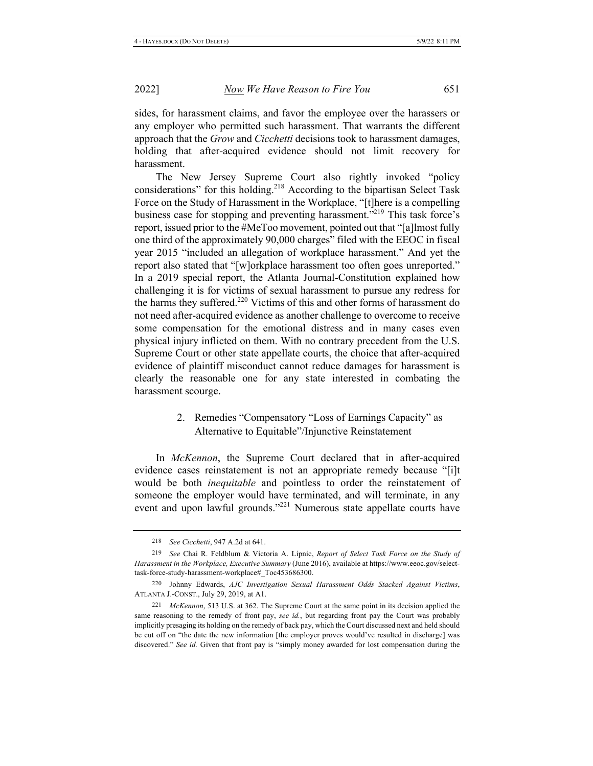sides, for harassment claims, and favor the employee over the harassers or any employer who permitted such harassment. That warrants the different approach that the Grow and Cicchetti decisions took to harassment damages, holding that after-acquired evidence should not limit recovery for harassment.

The New Jersey Supreme Court also rightly invoked "policy considerations" for this holding.<sup>218</sup> According to the bipartisan Select Task Force on the Study of Harassment in the Workplace, "[t]here is a compelling business case for stopping and preventing harassment."<sup>219</sup> This task force's report, issued prior to the #MeToo movement, pointed out that "[a]lmost fully one third of the approximately 90,000 charges" filed with the EEOC in fiscal year 2015 "included an allegation of workplace harassment." And yet the report also stated that "[w]orkplace harassment too often goes unreported." In a 2019 special report, the Atlanta Journal-Constitution explained how challenging it is for victims of sexual harassment to pursue any redress for the harms they suffered.<sup>220</sup> Victims of this and other forms of harassment do not need after-acquired evidence as another challenge to overcome to receive some compensation for the emotional distress and in many cases even physical injury inflicted on them. With no contrary precedent from the U.S. Supreme Court or other state appellate courts, the choice that after-acquired evidence of plaintiff misconduct cannot reduce damages for harassment is clearly the reasonable one for any state interested in combating the harassment scourge.

### 2. Remedies "Compensatory "Loss of Earnings Capacity" as Alternative to Equitable"/Injunctive Reinstatement

In McKennon, the Supreme Court declared that in after-acquired evidence cases reinstatement is not an appropriate remedy because "[i]t would be both *inequitable* and pointless to order the reinstatement of someone the employer would have terminated, and will terminate, in any event and upon lawful grounds."<sup>221</sup> Numerous state appellate courts have

<sup>218</sup> See Cicchetti, 947 A.2d at 641.

<sup>219</sup> See Chai R. Feldblum & Victoria A. Lipnic, Report of Select Task Force on the Study of Harassment in the Workplace, Executive Summary (June 2016), available at https://www.eeoc.gov/selecttask-force-study-harassment-workplace#\_Toc453686300.

<sup>220</sup> Johnny Edwards, AJC Investigation Sexual Harassment Odds Stacked Against Victims, ATLANTA J.-CONST., July 29, 2019, at A1.

McKennon, 513 U.S. at 362. The Supreme Court at the same point in its decision applied the 221 same reasoning to the remedy of front pay, see id., but regarding front pay the Court was probably implicitly presaging its holding on the remedy of back pay, which the Court discussed next and held should be cut off on "the date the new information [the employer proves would've resulted in discharge] was discovered." See id. Given that front pay is "simply money awarded for lost compensation during the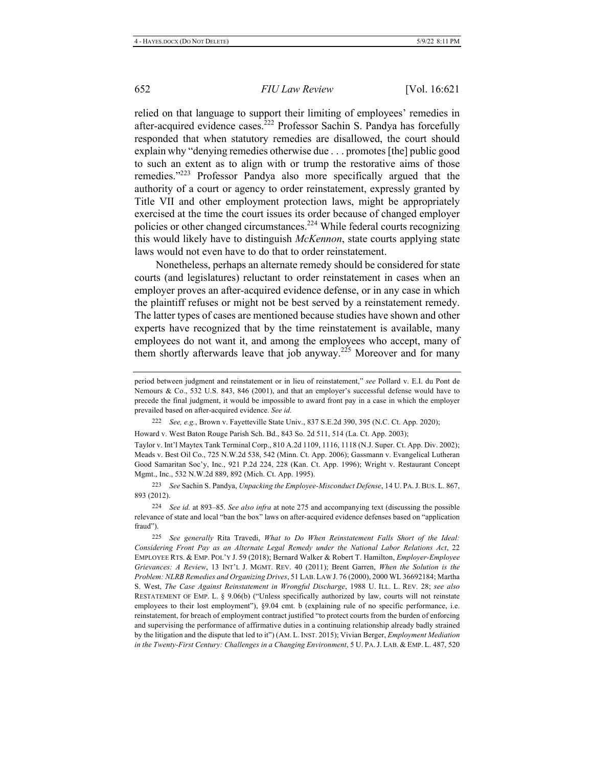relied on that language to support their limiting of employees' remedies in after-acquired evidence cases.<sup>222</sup> Professor Sachin S. Pandya has forcefully responded that when statutory remedies are disallowed, the court should explain why "denying remedies otherwise due . . . promotes [the] public good to such an extent as to align with or trump the restorative aims of those remedies."<sup>223</sup> Professor Pandya also more specifically argued that the authority of a court or agency to order reinstatement, expressly granted by Title VII and other employment protection laws, might be appropriately exercised at the time the court issues its order because of changed employer policies or other changed circumstances.<sup>224</sup> While federal courts recognizing this would likely have to distinguish *McKennon*, state courts applying state laws would not even have to do that to order reinstatement.

Nonetheless, perhaps an alternate remedy should be considered for state courts (and legislatures) reluctant to order reinstatement in cases when an employer proves an after-acquired evidence defense, or in any case in which the plaintiff refuses or might not be best served by a reinstatement remedy. The latter types of cases are mentioned because studies have shown and other experts have recognized that by the time reinstatement is available, many employees do not want it, and among the employees who accept, many of them shortly afterwards leave that job anyway.<sup>225</sup> Moreover and for many

222 See, e.g., Brown v. Fayetteville State Univ., 837 S.E.2d 390, 395 (N.C. Ct. App. 2020);

Howard v. West Baton Rouge Parish Sch. Bd., 843 So. 2d 511, 514 (La. Ct. App. 2003);

Taylor v. Int'l Maytex Tank Terminal Corp., 810 A.2d 1109, 1116, 1118 (N.J. Super. Ct. App. Div. 2002); Meads v. Best Oil Co., 725 N.W.2d 538, 542 (Minn. Ct. App. 2006); Gassmann v. Evangelical Lutheran Good Samaritan Soc'y, Inc., 921 P.2d 224, 228 (Kan. Ct. App. 1996); Wright v. Restaurant Concept Mgmt., Inc., 532 N.W.2d 889, 892 (Mich. Ct. App. 1995).

223 See Sachin S. Pandya, *Unpacking the Employee-Misconduct Defense*, 14 U. PA. J. BUS. L. 867, 893 (2012).

224 See id. at 893-85. See also infra at note 275 and accompanying text (discussing the possible relevance of state and local "ban the box" laws on after-acquired evidence defenses based on "application fraud").

<sup>225</sup> See generally Rita Travedi, What to Do When Reinstatement Falls Short of the Ideal: Considering Front Pay as an Alternate Legal Remedy under the National Labor Relations Act, 22 EMPLOYEE RTS. & EMP. POL'Y J. 59 (2018); Bernard Walker & Robert T. Hamilton, *Employer-Employee* Grievances: A Review, 13 INT'L J. MGMT. REV. 40 (2011); Brent Garren, When the Solution is the Problem: NLRB Remedies and Organizing Drives, 51 LAB. LAW J. 76 (2000), 2000 WL 36692184; Martha S. West, The Case Against Reinstatement in Wrongful Discharge, 1988 U. ILL. L. REV. 28; see also RESTATEMENT OF EMP. L. § 9.06(b) ("Unless specifically authorized by law, courts will not reinstate employees to their lost employment"), §9.04 cmt. b (explaining rule of no specific performance, i.e. reinstatement, for breach of employment contract justified "to protect courts from the burden of enforcing and supervising the performance of affirmative duties in a continuing relationship already badly strained by the litigation and the dispute that led to it") (AM. L. INST. 2015); Vivian Berger, *Employment Mediation* in the Twenty-First Century: Challenges in a Changing Environment, 5 U. PA. J. LAB. & EMP. L. 487, 520

period between judgment and reinstatement or in lieu of reinstatement," see Pollard v. E.I. du Pont de Nemours & Co., 532 U.S. 843, 846 (2001), and that an employer's successful defense would have to precede the final judgment, it would be impossible to award front pay in a case in which the employer prevailed based on after-acquired evidence. See id.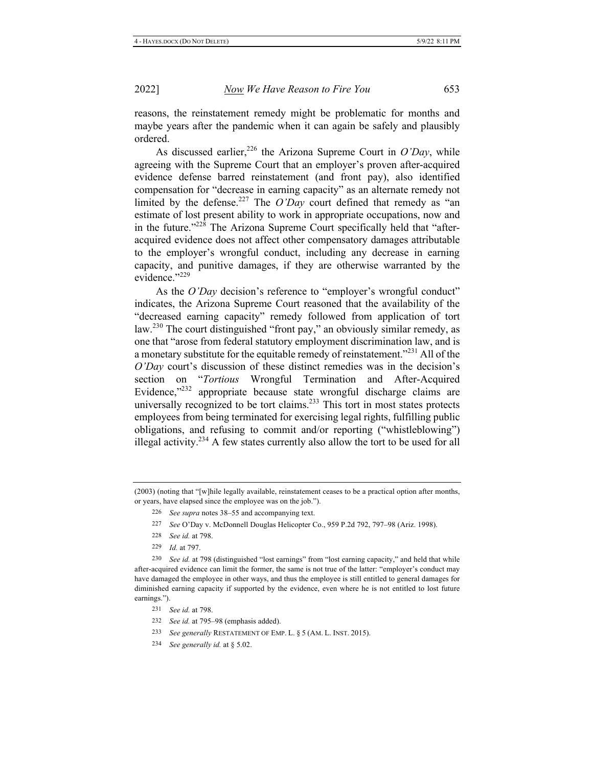reasons, the reinstatement remedy might be problematic for months and maybe years after the pandemic when it can again be safely and plausibly ordered.

As discussed earlier,<sup>226</sup> the Arizona Supreme Court in O'Day, while agreeing with the Supreme Court that an employer's proven after-acquired evidence defense barred reinstatement (and front pay), also identified compensation for "decrease in earning capacity" as an alternate remedy not limited by the defense.<sup>227</sup> The O'Day court defined that remedy as "an estimate of lost present ability to work in appropriate occupations, now and in the future."<sup>228</sup> The Arizona Supreme Court specifically held that "afteracquired evidence does not affect other compensatory damages attributable to the employer's wrongful conduct, including any decrease in earning capacity, and punitive damages, if they are otherwise warranted by the evidence."229

As the O'Day decision's reference to "employer's wrongful conduct" indicates, the Arizona Supreme Court reasoned that the availability of the "decreased earning capacity" remedy followed from application of tort law.<sup>230</sup> The court distinguished "front pay," an obviously similar remedy, as one that "arose from federal statutory employment discrimination law, and is a monetary substitute for the equitable remedy of reinstatement."<sup>231</sup> All of the O'Day court's discussion of these distinct remedies was in the decision's section on "Tortious Wrongful Termination and After-Acquired Evidence,"232 appropriate because state wrongful discharge claims are universally recognized to be tort claims.<sup>233</sup> This tort in most states protects employees from being terminated for exercising legal rights, fulfilling public obligations, and refusing to commit and/or reporting ("whistleblowing") illegal activity.<sup>234</sup> A few states currently also allow the tort to be used for all

- 226 See supra notes 38-55 and accompanying text.
- 227 See O'Day v. McDonnell Douglas Helicopter Co., 959 P.2d 792, 797-98 (Ariz. 1998).
- 228 See id. at 798.
- 229 *Id.* at 797.

230 See id. at 798 (distinguished "lost earnings" from "lost earning capacity," and held that while after-acquired evidence can limit the former, the same is not true of the latter: "employer's conduct may have damaged the employee in other ways, and thus the employee is still entitled to general damages for diminished earning capacity if supported by the evidence, even where he is not entitled to lost future earnings.").

- 231 See id. at 798.
- 232 See id. at 795-98 (emphasis added).
- 233 See generally RESTATEMENT OF EMP. L. § 5 (AM. L. INST. 2015).
- 234 See generally id. at § 5.02.

<sup>(2003) (</sup>noting that "[w]hile legally available, reinstatement ceases to be a practical option after months, or years, have elapsed since the employee was on the job.").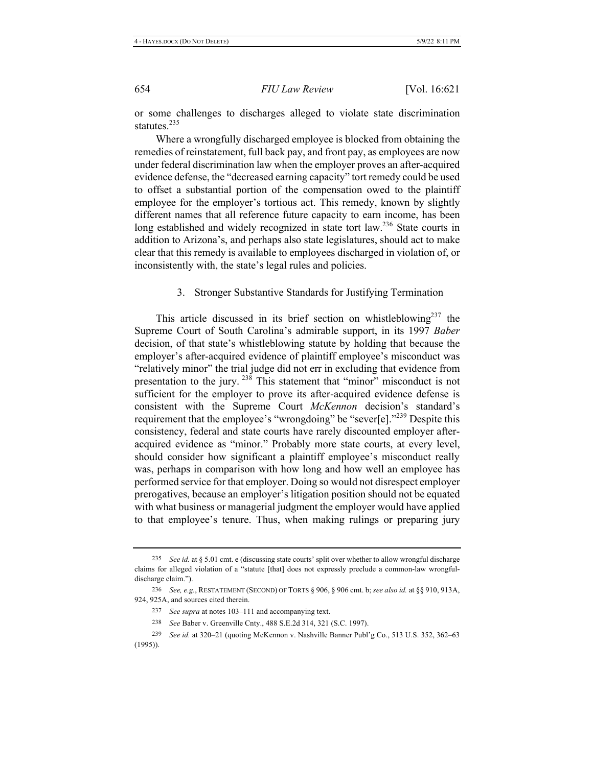or some challenges to discharges alleged to violate state discrimination statutes.<sup>235</sup>

Where a wrongfully discharged employee is blocked from obtaining the remedies of reinstatement, full back pay, and front pay, as employees are now under federal discrimination law when the employer proves an after-acquired evidence defense, the "decreased earning capacity" tort remedy could be used to offset a substantial portion of the compensation owed to the plaintiff employee for the employer's tortious act. This remedy, known by slightly different names that all reference future capacity to earn income, has been long established and widely recognized in state tort law.<sup>236</sup> State courts in addition to Arizona's, and perhaps also state legislatures, should act to make clear that this remedy is available to employees discharged in violation of, or inconsistently with, the state's legal rules and policies.

#### Stronger Substantive Standards for Justifying Termination 3.

This article discussed in its brief section on whistleblowing<sup>237</sup> the Supreme Court of South Carolina's admirable support, in its 1997 Baber decision, of that state's whistleblowing statute by holding that because the employer's after-acquired evidence of plaintiff employee's misconduct was "relatively minor" the trial judge did not err in excluding that evidence from presentation to the jury.<sup>238</sup> This statement that "minor" misconduct is not sufficient for the employer to prove its after-acquired evidence defense is consistent with the Supreme Court McKennon decision's standard's requirement that the employee's "wrongdoing" be "sever[e]."<sup>239</sup> Despite this consistency, federal and state courts have rarely discounted employer afteracquired evidence as "minor." Probably more state courts, at every level, should consider how significant a plaintiff employee's misconduct really was, perhaps in comparison with how long and how well an employee has performed service for that employer. Doing so would not disrespect employer prerogatives, because an employer's litigation position should not be equated with what business or managerial judgment the employer would have applied to that employee's tenure. Thus, when making rulings or preparing jury

- 238 See Baber v. Greenville Cnty., 488 S.E.2d 314, 321 (S.C. 1997).
- 239 See id. at 320–21 (quoting McKennon v. Nashville Banner Publ'g Co., 513 U.S. 352, 362–63  $(1995)$ ).

<sup>235</sup> See id. at § 5.01 cmt. e (discussing state courts' split over whether to allow wrongful discharge claims for alleged violation of a "statute [that] does not expressly preclude a common-law wrongfuldischarge claim.").

<sup>236</sup> See, e.g., RESTATEMENT (SECOND) OF TORTS § 906, § 906 cmt. b; see also id. at §§ 910, 913A, 924, 925A, and sources cited therein.

<sup>237</sup> See supra at notes 103-111 and accompanying text.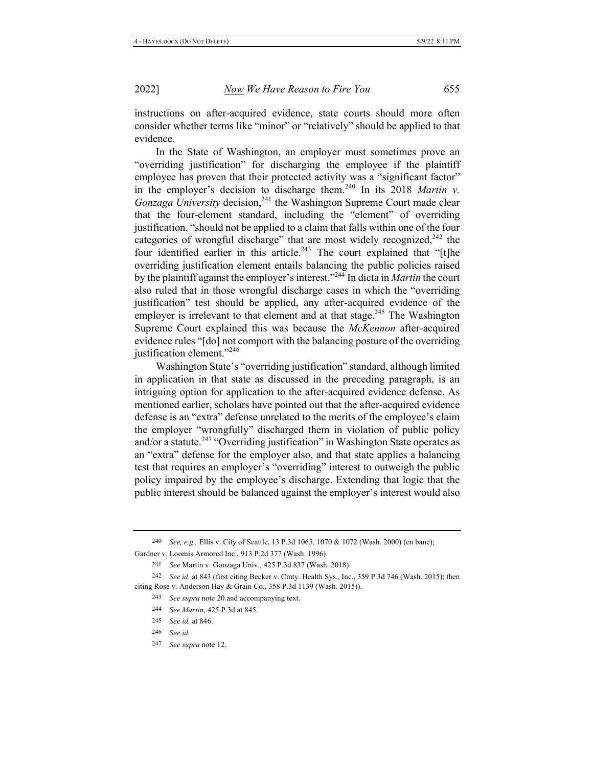instructions on after-acquired evidence, state courts should more often consider whether terms like "minor" or "relatively" should be applied to that evidence.

In the State of Washington, an employer must sometimes prove an "overriding justification" for discharging the employee if the plaintiff employee has proven that their protected activity was a "significant factor" in the employer's decision to discharge them.<sup>240</sup> In its 2018 Martin v. *Gonzaga University* decision,<sup>241</sup> the Washington Supreme Court made clear that the four-element standard, including the "element" of overriding justification, "should not be applied to a claim that falls within one of the four categories of wrongful discharge" that are most widely recognized,<sup>242</sup> the four identified earlier in this article.<sup>243</sup> The court explained that "[t]he overriding justification element entails balancing the public policies raised by the plaintiff against the employer's interest."<sup>244</sup> In dicta in Martin the court also ruled that in those wrongful discharge cases in which the "overriding justification" test should be applied, any after-acquired evidence of the employer is irrelevant to that element and at that stage.<sup>245</sup> The Washington Supreme Court explained this was because the McKennon after-acquired evidence rules "[do] not comport with the balancing posture of the overriding justification element."<sup>246</sup>

Washington State's "overriding justification" standard, although limited in application in that state as discussed in the preceding paragraph, is an intriguing option for application to the after-acquired evidence defense. As mentioned earlier, scholars have pointed out that the after-acquired evidence defense is an "extra" defense unrelated to the merits of the employee's claim the employer "wrongfully" discharged them in violation of public policy and/or a statute.<sup>247</sup> "Overriding justification" in Washington State operates as an "extra" defense for the employer also, and that state applies a balancing test that requires an employer's "overriding" interest to outweigh the public policy impaired by the employee's discharge. Extending that logic that the public interest should be balanced against the employer's interest would also

240 See, e.g., Ellis v. City of Seattle, 13 P.3d 1065, 1070 & 1072 (Wash. 2000) (en banc);

Gardner v. Loomis Armored Inc., 913 P.2d 377 (Wash. 1996).

241 See Martin v. Gonzaga Univ., 425 P.3d 837 (Wash. 2018).

- 243 See supra note 20 and accompanying text.
- 244 See Martin, 425 P.3d at 845.
- 245 See id. at 846.
- 246 See id.
- 247 See supra note 12.

<sup>242</sup> See id. at 843 (first citing Becker v. Cmty. Health Sys., Inc., 359 P.3d 746 (Wash. 2015); then citing Rose v. Anderson Hay & Grain Co., 358 P.3d 1139 (Wash. 2015)).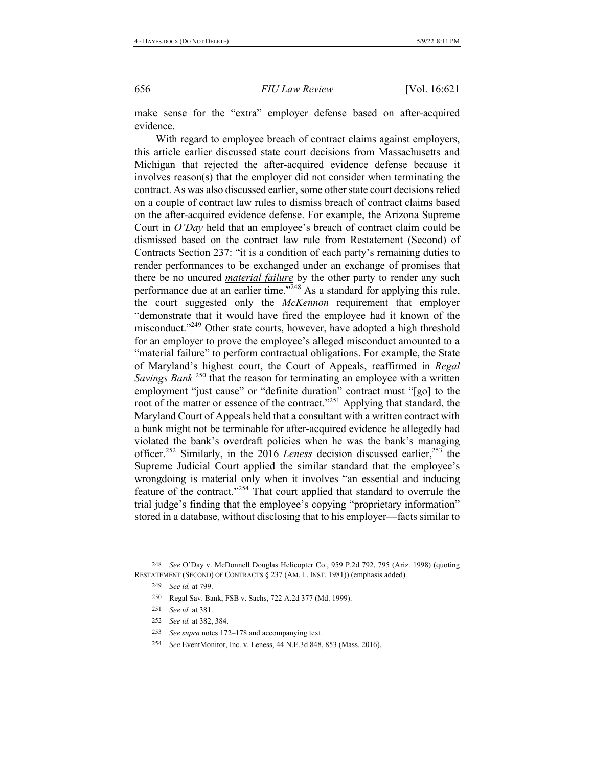make sense for the "extra" employer defense based on after-acquired evidence.

With regard to employee breach of contract claims against employers, this article earlier discussed state court decisions from Massachusetts and Michigan that rejected the after-acquired evidence defense because it involves  $reason(s)$  that the employer did not consider when terminating the contract. As was also discussed earlier, some other state court decisions relied on a couple of contract law rules to dismiss breach of contract claims based on the after-acquired evidence defense. For example, the Arizona Supreme Court in O'Day held that an employee's breach of contract claim could be dismissed based on the contract law rule from Restatement (Second) of Contracts Section 237: "it is a condition of each party's remaining duties to render performances to be exchanged under an exchange of promises that there be no uncured *material failure* by the other party to render any such performance due at an earlier time." $^{248}$  As a standard for applying this rule, the court suggested only the McKennon requirement that employer "demonstrate that it would have fired the employee had it known of the misconduct."<sup>249</sup> Other state courts, however, have adopted a high threshold for an employer to prove the employee's alleged misconduct amounted to a "material failure" to perform contractual obligations. For example, the State of Maryland's highest court, the Court of Appeals, reaffirmed in Regal *Savings Bank*<sup>250</sup> that the reason for terminating an employee with a written employment "just cause" or "definite duration" contract must "[go] to the root of the matter or essence of the contract."<sup>251</sup> Applying that standard, the Maryland Court of Appeals held that a consultant with a written contract with a bank might not be terminable for after-acquired evidence he allegedly had violated the bank's overdraft policies when he was the bank's managing officer.<sup>252</sup> Similarly, in the 2016 Leness decision discussed earlier,<sup>253</sup> the Supreme Judicial Court applied the similar standard that the employee's wrongdoing is material only when it involves "an essential and inducing feature of the contract."<sup>254</sup> That court applied that standard to overrule the trial judge's finding that the employee's copying "proprietary information" stored in a database, without disclosing that to his employer—facts similar to

<sup>248</sup> See O'Day v. McDonnell Douglas Helicopter Co., 959 P.2d 792, 795 (Ariz. 1998) (quoting RESTATEMENT (SECOND) OF CONTRACTS § 237 (AM. L. INST. 1981)) (emphasis added).

<sup>249</sup> *See id.* at 799.

<sup>250</sup> Regal Sav. Bank, FSB v. Sachs, 722 A.2d 377 (Md. 1999).

<sup>251</sup> *See id.* at 381.

<sup>252</sup> *See id.* at 382, 384.

<sup>253</sup> See supra notes 172–178 and accompanying text.

<sup>&</sup>lt;sup>254</sup> See EventMonitor, Inc. v. Leness, 44 N.E.3d 848, 853 (Mass. 2016).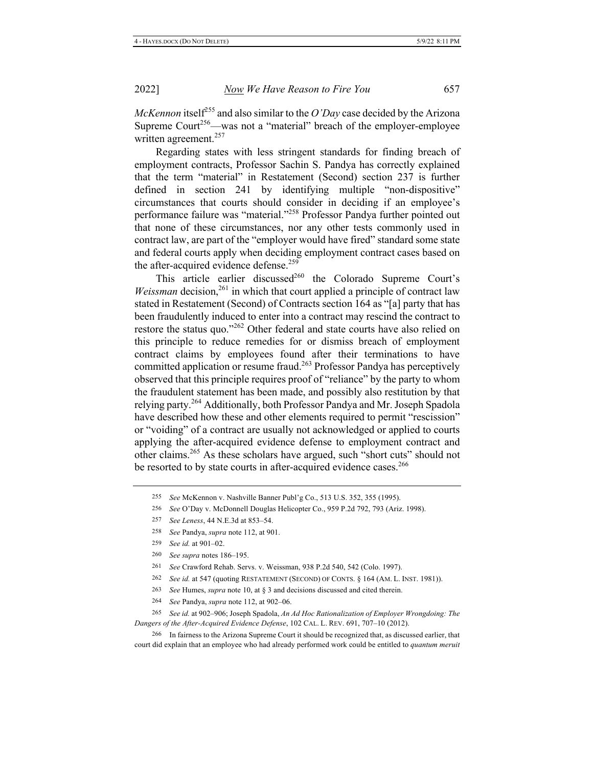McKennon itself<sup>255</sup> and also similar to the O'Day case decided by the Arizona Supreme Court<sup>256</sup>—was not a "material" breach of the employer-employee written agreement.<sup>257</sup>

Regarding states with less stringent standards for finding breach of employment contracts, Professor Sachin S. Pandya has correctly explained that the term "material" in Restatement (Second) section 237 is further defined in section 241 by identifying multiple "non-dispositive" circumstances that courts should consider in deciding if an employee's performance failure was "material."<sup>258</sup> Professor Pandya further pointed out that none of these circumstances, nor any other tests commonly used in contract law, are part of the "employer would have fired" standard some state and federal courts apply when deciding employment contract cases based on the after-acquired evidence defense.<sup>259</sup>

This article earlier discussed<sup>260</sup> the Colorado Supreme Court's *Weissman* decision,<sup>261</sup> in which that court applied a principle of contract law stated in Restatement (Second) of Contracts section 164 as "[a] party that has been fraudulently induced to enter into a contract may rescind the contract to restore the status quo."<sup>262</sup> Other federal and state courts have also relied on this principle to reduce remedies for or dismiss breach of employment contract claims by employees found after their terminations to have committed application or resume fraud.<sup>263</sup> Professor Pandya has perceptively observed that this principle requires proof of "reliance" by the party to whom the fraudulent statement has been made, and possibly also restitution by that relying party.<sup>264</sup> Additionally, both Professor Pandya and Mr. Joseph Spadola have described how these and other elements required to permit "rescission" or "voiding" of a contract are usually not acknowledged or applied to courts applying the after-acquired evidence defense to employment contract and other claims.<sup>265</sup> As these scholars have argued, such "short cuts" should not be resorted to by state courts in after-acquired evidence cases.<sup>266</sup>

258 See Pandya, supra note 112, at 901.

260 See supra notes 186-195.

- 262 See id. at 547 (quoting RESTATEMENT (SECOND) OF CONTS. § 164 (AM. L. INST. 1981)).
- 263 See Humes, supra note 10, at § 3 and decisions discussed and cited therein.
- 264 See Pandya, supra note 112, at 902-06.

265 See id. at 902-906; Joseph Spadola, An Ad Hoc Rationalization of Employer Wrongdoing: The Dangers of the After-Acquired Evidence Defense, 102 CAL. L. REV. 691, 707-10 (2012).

266 In fairness to the Arizona Supreme Court it should be recognized that, as discussed earlier, that court did explain that an employee who had already performed work could be entitled to quantum meruit

<sup>255</sup> See McKennon v. Nashville Banner Publ'g Co., 513 U.S. 352, 355 (1995).

<sup>256</sup> See O'Day v. McDonnell Douglas Helicopter Co., 959 P.2d 792, 793 (Ariz. 1998).

<sup>257</sup> See Leness, 44 N.E.3d at 853-54.

<sup>259</sup> See id. at 901-02.

<sup>261</sup> See Crawford Rehab. Servs. v. Weissman, 938 P.2d 540, 542 (Colo. 1997).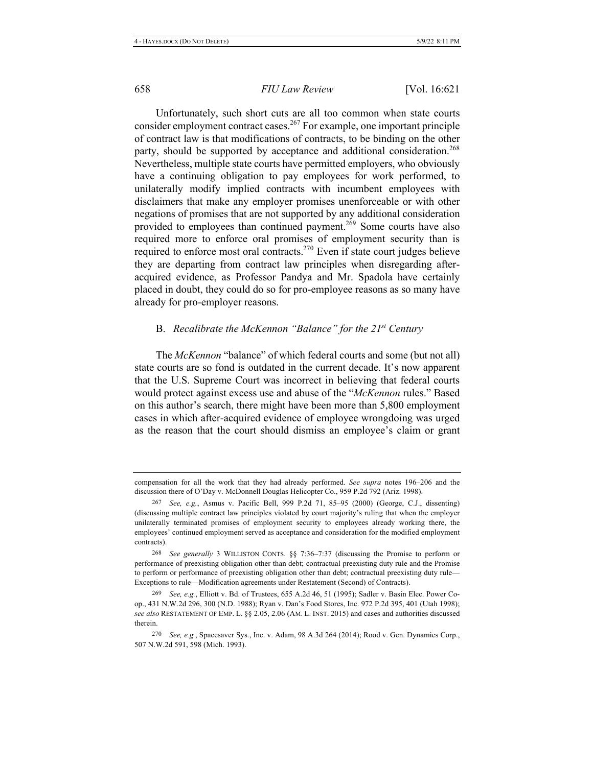Unfortunately, such short cuts are all too common when state courts consider employment contract cases.<sup>267</sup> For example, one important principle of contract law is that modifications of contracts, to be binding on the other party, should be supported by acceptance and additional consideration.<sup>268</sup> Nevertheless, multiple state courts have permitted employers, who obviously have a continuing obligation to pay employees for work performed, to unilaterally modify implied contracts with incumbent employees with disclaimers that make any employer promises unenforceable or with other negations of promises that are not supported by any additional consideration provided to employees than continued payment.<sup>269</sup> Some courts have also required more to enforce oral promises of employment security than is required to enforce most oral contracts.<sup>270</sup> Even if state court judges believe they are departing from contract law principles when disregarding afteracquired evidence, as Professor Pandya and Mr. Spadola have certainly placed in doubt, they could do so for pro-employee reasons as so many have already for pro-employer reasons.

#### B. Recalibrate the McKennon "Balance" for the  $21^{st}$  Century

The McKennon "balance" of which federal courts and some (but not all) state courts are so fond is outdated in the current decade. It's now apparent that the U.S. Supreme Court was incorrect in believing that federal courts would protect against excess use and abuse of the "McKennon rules." Based on this author's search, there might have been more than 5,800 employment cases in which after-acquired evidence of employee wrongdoing was urged as the reason that the court should dismiss an employee's claim or grant

compensation for all the work that they had already performed. See supra notes 196-206 and the discussion there of O'Day v. McDonnell Douglas Helicopter Co., 959 P.2d 792 (Ariz. 1998).

<sup>267</sup> See, e.g., Asmus v. Pacific Bell, 999 P.2d 71, 85-95 (2000) (George, C.J., dissenting) (discussing multiple contract law principles violated by court majority's ruling that when the employer unilaterally terminated promises of employment security to employees already working there, the employees' continued employment served as acceptance and consideration for the modified employment contracts).

<sup>268</sup> See generally 3 WILLISTON CONTS. §§ 7:36-7:37 (discussing the Promise to perform or performance of preexisting obligation other than debt; contractual preexisting duty rule and the Promise to perform or performance of preexisting obligation other than debt; contractual preexisting duty rule-Exceptions to rule—Modification agreements under Restatement (Second) of Contracts).

<sup>269</sup> See, e.g., Elliott v. Bd. of Trustees, 655 A.2d 46, 51 (1995); Sadler v. Basin Elec. Power Coop., 431 N.W.2d 296, 300 (N.D. 1988); Ryan v. Dan's Food Stores, Inc. 972 P.2d 395, 401 (Utah 1998); see also RESTATEMENT OF EMP. L. §§ 2.05, 2.06 (AM. L. INST. 2015) and cases and authorities discussed therein.

<sup>270</sup> See, e.g., Spacesaver Sys., Inc. v. Adam, 98 A.3d 264 (2014); Rood v. Gen. Dynamics Corp., 507 N.W.2d 591, 598 (Mich. 1993).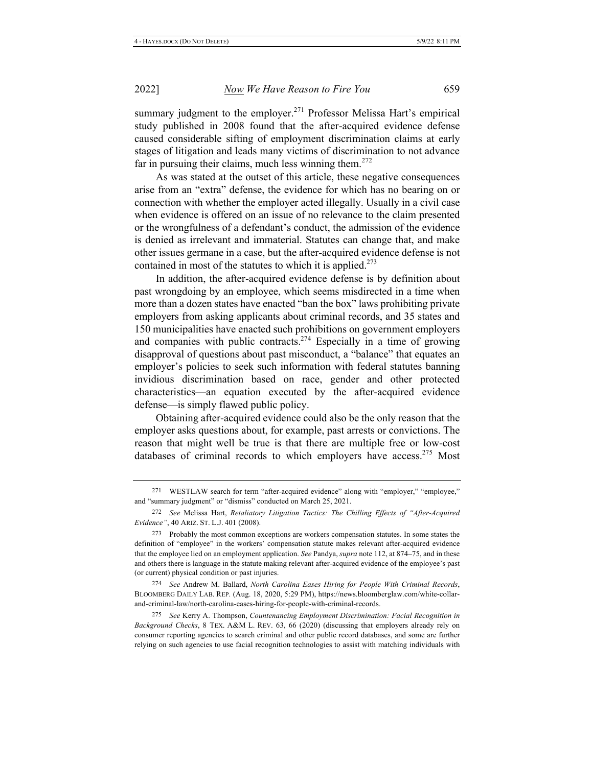summary judgment to the employer.<sup>271</sup> Professor Melissa Hart's empirical study published in 2008 found that the after-acquired evidence defense caused considerable sifting of employment discrimination claims at early stages of litigation and leads many victims of discrimination to not advance far in pursuing their claims, much less winning them.<sup>272</sup>

As was stated at the outset of this article, these negative consequences arise from an "extra" defense, the evidence for which has no bearing on or connection with whether the employer acted illegally. Usually in a civil case when evidence is offered on an issue of no relevance to the claim presented or the wrongfulness of a defendant's conduct, the admission of the evidence is denied as irrelevant and immaterial. Statutes can change that, and make other issues germane in a case, but the after-acquired evidence defense is not contained in most of the statutes to which it is applied.<sup>273</sup>

In addition, the after-acquired evidence defense is by definition about past wrongdoing by an employee, which seems misdirected in a time when more than a dozen states have enacted "ban the box" laws prohibiting private employers from asking applicants about criminal records, and 35 states and 150 municipalities have enacted such prohibitions on government employers and companies with public contracts.<sup>274</sup> Especially in a time of growing disapproval of questions about past misconduct, a "balance" that equates an employer's policies to seek such information with federal statutes banning invidious discrimination based on race, gender and other protected characteristics—an equation executed by the after-acquired evidence defense—is simply flawed public policy.

Obtaining after-acquired evidence could also be the only reason that the employer asks questions about, for example, past arrests or convictions. The reason that might well be true is that there are multiple free or low-cost databases of criminal records to which employers have access.<sup>275</sup> Most

274 See Andrew M. Ballard, North Carolina Eases Hiring for People With Criminal Records, BLOOMBERG DAILY LAB. REP. (Aug. 18, 2020, 5:29 PM), https://news.bloomberglaw.com/white-collarand-criminal-law/north-carolina-eases-hiring-for-people-with-criminal-records.

275 See Kerry A. Thompson, Countenancing Employment Discrimination: Facial Recognition in Background Checks, 8 TEX. A&M L. REV. 63, 66 (2020) (discussing that employers already rely on consumer reporting agencies to search criminal and other public record databases, and some are further relying on such agencies to use facial recognition technologies to assist with matching individuals with

<sup>271</sup> WESTLAW search for term "after-acquired evidence" along with "employer," "employee," and "summary judgment" or "dismiss" conducted on March 25, 2021.

<sup>272</sup> See Melissa Hart, Retaliatory Litigation Tactics: The Chilling Effects of "After-Acquired Evidence", 40 ARIZ. ST. L.J. 401 (2008).

<sup>273</sup> Probably the most common exceptions are workers compensation statutes. In some states the definition of "employee" in the workers' compensation statute makes relevant after-acquired evidence that the employee lied on an employment application. See Pandya, supra note 112, at 874–75, and in these and others there is language in the statute making relevant after-acquired evidence of the employee's past (or current) physical condition or past injuries.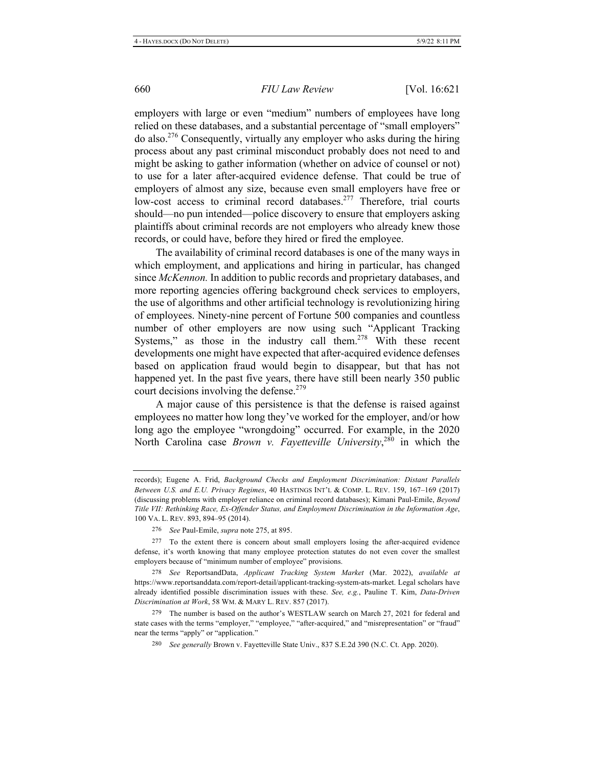employers with large or even "medium" numbers of employees have long relied on these databases, and a substantial percentage of "small employers" do also.<sup>276</sup> Consequently, virtually any employer who asks during the hiring process about any past criminal misconduct probably does not need to and might be asking to gather information (whether on advice of counsel or not) to use for a later after-acquired evidence defense. That could be true of employers of almost any size, because even small employers have free or low-cost access to criminal record databases.<sup>277</sup> Therefore, trial courts should—no pun intended—police discovery to ensure that employers asking plaintiffs about criminal records are not employers who already knew those records, or could have, before they hired or fired the employee.

The availability of criminal record databases is one of the many ways in which employment, and applications and hiring in particular, has changed since *McKennon*. In addition to public records and proprietary databases, and more reporting agencies offering background check services to employers, the use of algorithms and other artificial technology is revolutionizing hiring of employees. Ninety-nine percent of Fortune 500 companies and countless number of other employers are now using such "Applicant Tracking Systems," as those in the industry call them.<sup>278</sup> With these recent developments one might have expected that after-acquired evidence defenses based on application fraud would begin to disappear, but that has not happened yet. In the past five years, there have still been nearly 350 public court decisions involving the defense.<sup>279</sup>

A major cause of this persistence is that the defense is raised against employees no matter how long they've worked for the employer, and/or how long ago the employee "wrongdoing" occurred. For example, in the 2020 North Carolina case *Brown v. Fayetteville University*,<sup>280</sup> in which the

278 See ReportsandData, *Applicant Tracking System Market* (Mar. 2022), *available at* https://www.reportsanddata.com/report-detail/applicant-tracking-system-ats-market. Legal scholars have already identified possible discrimination issues with these. See, e.g., Pauline T. Kim, Data-Driven Discrimination at Work, 58 WM. & MARY L. REV. 857 (2017).

279 The number is based on the author's WESTLAW search on March 27, 2021 for federal and state cases with the terms "employer," "employee," "after-acquired," and "misrepresentation" or "fraud" near the terms "apply" or "application."

<sup>280</sup> See generally Brown v. Fayetteville State Univ., 837 S.E.2d 390 (N.C. Ct. App. 2020).

records); Eugene A. Frid, *Background Checks and Employment Discrimination: Distant Parallels* Between U.S. and E.U. Privacy Regimes, 40 HASTINGS INT'L & COMP. L. REV. 159, 167-169 (2017) (discussing problems with employer reliance on criminal record databases); Kimani Paul-Emile, *Beyond* Title VII: Rethinking Race, Ex-Offender Status, and Employment Discrimination in the Information Age, 100 VA. L. REV. 893, 894-95 (2014).

<sup>276</sup> See Paul-Emile, *supra* note 275, at 895.

<sup>277</sup> To the extent there is concern about small employers losing the after-acquired evidence defense, it's worth knowing that many employee protection statutes do not even cover the smallest employers because of "minimum number of employee" provisions.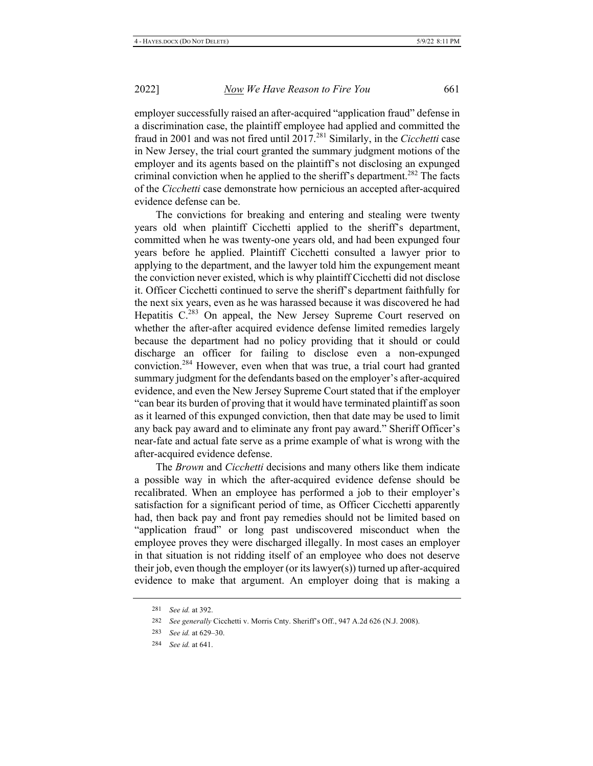employer successfully raised an after-acquired "application fraud" defense in a discrimination case, the plaintiff employee had applied and committed the fraud in 2001 and was not fired until 2017.<sup>281</sup> Similarly, in the Cicchetti case in New Jersey, the trial court granted the summary judgment motions of the employer and its agents based on the plaintiff's not disclosing an expunged criminal conviction when he applied to the sheriff's department.<sup>282</sup> The facts of the Cicchetti case demonstrate how pernicious an accepted after-acquired evidence defense can be.

The convictions for breaking and entering and stealing were twenty years old when plaintiff Cicchetti applied to the sheriff's department, committed when he was twenty-one years old, and had been expunged four years before he applied. Plaintiff Cicchetti consulted a lawyer prior to applying to the department, and the lawyer told him the expungement meant the conviction never existed, which is why plaintiff Cicchetti did not disclose it. Officer Cicchetti continued to serve the sheriff's department faithfully for the next six years, even as he was harassed because it was discovered he had Hepatitis C.<sup>283</sup> On appeal, the New Jersey Supreme Court reserved on whether the after-after acquired evidence defense limited remedies largely because the department had no policy providing that it should or could discharge an officer for failing to disclose even a non-expunged conviction.<sup>284</sup> However, even when that was true, a trial court had granted summary judgment for the defendants based on the employer's after-acquired evidence, and even the New Jersey Supreme Court stated that if the employer "can bear its burden of proving that it would have terminated plaintiff as soon as it learned of this expunged conviction, then that date may be used to limit any back pay award and to eliminate any front pay award." Sheriff Officer's near-fate and actual fate serve as a prime example of what is wrong with the after-acquired evidence defense.

The Brown and Cicchetti decisions and many others like them indicate a possible way in which the after-acquired evidence defense should be recalibrated. When an employee has performed a job to their employer's satisfaction for a significant period of time, as Officer Cicchetti apparently had, then back pay and front pay remedies should not be limited based on "application fraud" or long past undiscovered misconduct when the employee proves they were discharged illegally. In most cases an employer in that situation is not ridding itself of an employee who does not deserve their job, even though the employer (or its lawyer(s)) turned up after-acquired evidence to make that argument. An employer doing that is making a

<sup>281</sup> See id. at 392.

<sup>282</sup> See generally Cicchetti v. Morris Cnty. Sheriff's Off., 947 A.2d 626 (N.J. 2008).

<sup>283</sup> See id. at 629–30.

<sup>284</sup> See id. at 641.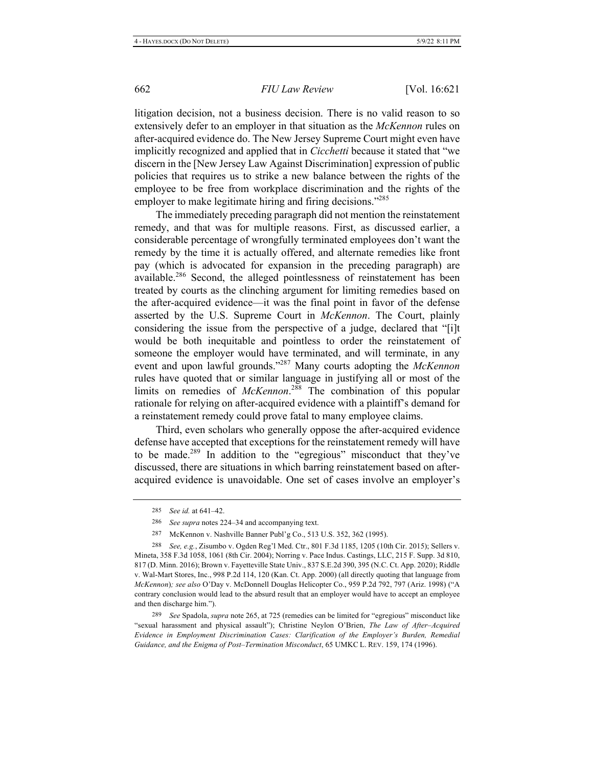litigation decision, not a business decision. There is no valid reason to so extensively defer to an employer in that situation as the McKennon rules on after-acquired evidence do. The New Jersey Supreme Court might even have implicitly recognized and applied that in *Cicchetti* because it stated that "we discern in the [New Jersey Law Against Discrimination] expression of public policies that requires us to strike a new balance between the rights of the employee to be free from workplace discrimination and the rights of the employer to make legitimate hiring and firing decisions."285

The immediately preceding paragraph did not mention the reinstatement remedy, and that was for multiple reasons. First, as discussed earlier, a considerable percentage of wrongfully terminated employees don't want the remedy by the time it is actually offered, and alternate remedies like front pay (which is advocated for expansion in the preceding paragraph) are available.<sup>286</sup> Second, the alleged pointlessness of reinstatement has been treated by courts as the clinching argument for limiting remedies based on the after-acquired evidence—it was the final point in favor of the defense asserted by the U.S. Supreme Court in McKennon. The Court, plainly considering the issue from the perspective of a judge, declared that "[i]t would be both inequitable and pointless to order the reinstatement of someone the employer would have terminated, and will terminate, in any event and upon lawful grounds."<sup>287</sup> Many courts adopting the McKennon rules have quoted that or similar language in justifying all or most of the limits on remedies of McKennon.<sup>288</sup> The combination of this popular rationale for relying on after-acquired evidence with a plaintiff's demand for a reinstatement remedy could prove fatal to many employee claims.

Third, even scholars who generally oppose the after-acquired evidence defense have accepted that exceptions for the reinstatement remedy will have to be made.<sup>289</sup> In addition to the "egregious" misconduct that they've discussed, there are situations in which barring reinstatement based on afteracquired evidence is unavoidable. One set of cases involve an employer's

287 McKennon v. Nashville Banner Publ'g Co., 513 U.S. 352, 362 (1995).

<sup>285</sup> See id. at 641-42.

<sup>286</sup> See supra notes 224–34 and accompanying text.

<sup>288</sup> See, e.g., Zisumbo v. Ogden Reg'l Med. Ctr., 801 F.3d 1185, 1205 (10th Cir. 2015); Sellers v. Mineta, 358 F.3d 1058, 1061 (8th Cir. 2004); Norring v. Pace Indus. Castings, LLC, 215 F. Supp. 3d 810, 817 (D. Minn. 2016); Brown v. Fayetteville State Univ., 837 S.E.2d 390, 395 (N.C. Ct. App. 2020); Riddle v. Wal-Mart Stores, Inc., 998 P.2d 114, 120 (Kan. Ct. App. 2000) (all directly quoting that language from McKennon); see also O'Day v. McDonnell Douglas Helicopter Co., 959 P.2d 792, 797 (Ariz. 1998) ("A contrary conclusion would lead to the absurd result that an employer would have to accept an employee and then discharge him.").

<sup>289</sup> See Spadola, supra note 265, at 725 (remedies can be limited for "egregious" misconduct like "sexual harassment and physical assault"); Christine Neylon O'Brien, The Law of After-Acquired Evidence in Employment Discrimination Cases: Clarification of the Employer's Burden, Remedial Guidance, and the Enigma of Post-Termination Misconduct, 65 UMKC L. REV. 159, 174 (1996).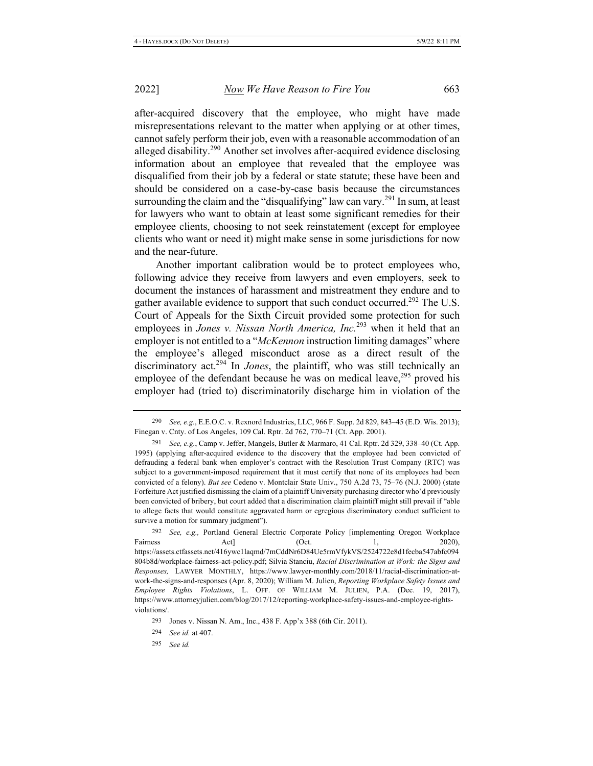after-acquired discovery that the employee, who might have made misrepresentations relevant to the matter when applying or at other times, cannot safely perform their job, even with a reasonable accommodation of an alleged disability.<sup>290</sup> Another set involves after-acquired evidence disclosing information about an employee that revealed that the employee was disqualified from their job by a federal or state statute; these have been and should be considered on a case-by-case basis because the circumstances surrounding the claim and the "disqualifying" law can vary.<sup>291</sup> In sum, at least for lawyers who want to obtain at least some significant remedies for their employee clients, choosing to not seek reinstatement (except for employee clients who want or need it) might make sense in some jurisdictions for now and the near-future.

Another important calibration would be to protect employees who, following advice they receive from lawyers and even employers, seek to document the instances of harassment and mistreatment they endure and to gather available evidence to support that such conduct occurred.<sup>292</sup> The U.S. Court of Appeals for the Sixth Circuit provided some protection for such employees in *Jones v. Nissan North America, Inc.*<sup>293</sup> when it held that an employer is not entitled to a "*McKennon* instruction limiting damages" where the employee's alleged misconduct arose as a direct result of the discriminatory act.<sup>294</sup> In *Jones*, the plaintiff, who was still technically an employee of the defendant because he was on medical leave,  $295$  proved his employer had (tried to) discriminatorily discharge him in violation of the

<sup>292</sup> See, e.g., Portland General Electric Corporate Policy [implementing Oregon Workplace Fairness  $Act$   $Act$   $(Oct. 1, 2020),$ https://assets.ctfassets.net/416ywc1laqmd/7mCddNr6D84Ue5rmVfykVS/2524722e8d1fecba547abfc094 804b8d/workplace-fairness-act-policy.pdf; Silvia Stanciu, Racial Discrimination at Work: the Signs and Responses, LAWYER MONTHLY, https://www.lawyer-monthly.com/2018/11/racial-discrimination-atwork-the-signs-and-responses (Apr. 8, 2020); William M. Julien, Reporting Workplace Safety Issues and Employee Rights Violations, L. OFF. OF WILLIAM M. JULIEN, P.A. (Dec. 19, 2017), https://www.attorneyjulien.com/blog/2017/12/reporting-workplace-safety-issues-and-employee-rightsviolations/.

<sup>290</sup> See, e.g., E.E.O.C. v. Rexnord Industries, LLC, 966 F. Supp. 2d 829, 843–45 (E.D. Wis. 2013); Finegan v. Cnty. of Los Angeles, 109 Cal. Rptr. 2d 762, 770-71 (Ct. App. 2001).

<sup>291</sup> See, e.g., Camp v. Jeffer, Mangels, Butler & Marmaro, 41 Cal. Rptr. 2d 329, 338-40 (Ct. App. 1995) (applying after-acquired evidence to the discovery that the employee had been convicted of defrauding a federal bank when employer's contract with the Resolution Trust Company (RTC) was subject to a government-imposed requirement that it must certify that none of its employees had been convicted of a felony). But see Cedeno v. Montclair State Univ., 750 A.2d 73, 75-76 (N.J. 2000) (state Forfeiture Act justified dismissing the claim of a plaintiff University purchasing director who'd previously been convicted of bribery, but court added that a discrimination claim plaintiff might still prevail if "able to allege facts that would constitute aggravated harm or egregious discriminatory conduct sufficient to survive a motion for summary judgment").

<sup>293</sup> Jones v. Nissan N. Am., Inc., 438 F. App'x 388 (6th Cir. 2011).

<sup>294</sup> *See id.* at 407.

<sup>295</sup> See id.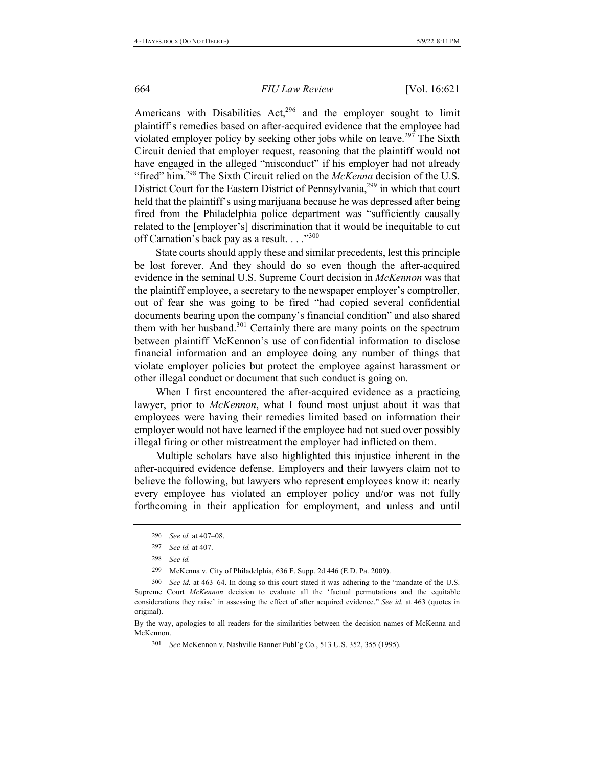Americans with Disabilities Act,<sup>296</sup> and the employer sought to limit plaintiff's remedies based on after-acquired evidence that the employee had violated employer policy by seeking other jobs while on leave.<sup>297</sup> The Sixth Circuit denied that employer request, reasoning that the plaintiff would not have engaged in the alleged "misconduct" if his employer had not already "fired" him.<sup>298</sup> The Sixth Circuit relied on the *McKenna* decision of the U.S. District Court for the Eastern District of Pennsylvania,<sup>299</sup> in which that court held that the plaintiff's using marijuana because he was depressed after being fired from the Philadelphia police department was "sufficiently causally related to the [employer's] discrimination that it would be inequitable to cut off Carnation's back pay as a result. . . ."300

State courts should apply these and similar precedents, lest this principle be lost forever. And they should do so even though the after-acquired evidence in the seminal U.S. Supreme Court decision in McKennon was that the plaintiff employee, a secretary to the newspaper employer's comptroller, out of fear she was going to be fired "had copied several confidential documents bearing upon the company's financial condition" and also shared them with her husband.<sup>301</sup> Certainly there are many points on the spectrum between plaintiff McKennon's use of confidential information to disclose financial information and an employee doing any number of things that violate employer policies but protect the employee against harassment or other illegal conduct or document that such conduct is going on.

When I first encountered the after-acquired evidence as a practicing lawyer, prior to McKennon, what I found most unjust about it was that employees were having their remedies limited based on information their employer would not have learned if the employee had not sued over possibly illegal firing or other mistreatment the employer had inflicted on them.

Multiple scholars have also highlighted this injustice inherent in the after-acquired evidence defense. Employers and their lawyers claim not to believe the following, but lawyers who represent employees know it: nearly every employee has violated an employer policy and/or was not fully forthcoming in their application for employment, and unless and until

298 See id.

299 McKenna v. City of Philadelphia, 636 F. Supp. 2d 446 (E.D. Pa. 2009).

300 See id. at 463-64. In doing so this court stated it was adhering to the "mandate of the U.S. Supreme Court McKennon decision to evaluate all the 'factual permutations and the equitable considerations they raise' in assessing the effect of after acquired evidence." See id. at 463 (quotes in original).

By the way, apologies to all readers for the similarities between the decision names of McKenna and McKennon.

301 See McKennon v. Nashville Banner Publ'g Co., 513 U.S. 352, 355 (1995).

<sup>296</sup> See id. at 407-08.

<sup>297</sup> See id. at 407.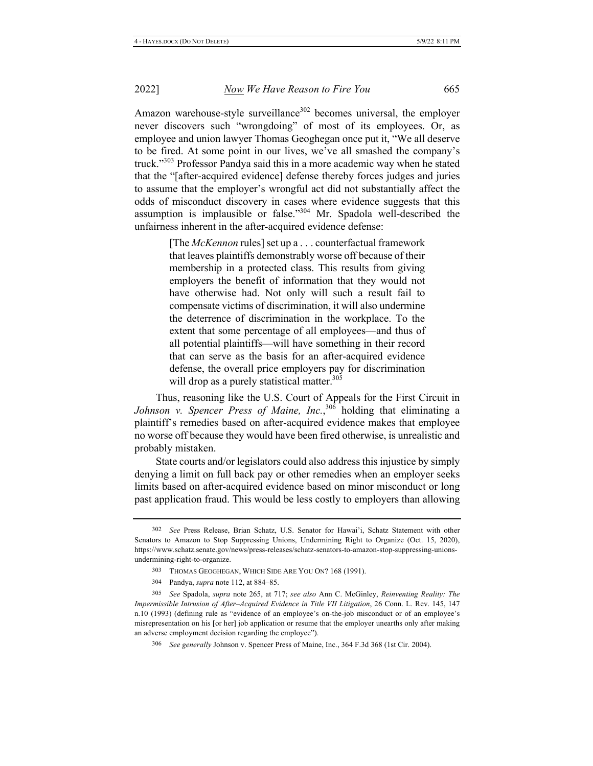Amazon warehouse-style surveillance<sup>302</sup> becomes universal, the employer never discovers such "wrongdoing" of most of its employees. Or, as employee and union lawyer Thomas Geoghegan once put it, "We all deserve to be fired. At some point in our lives, we've all smashed the company's truck."<sup>303</sup> Professor Pandya said this in a more academic way when he stated that the "[after-acquired evidence] defense thereby forces judges and juries to assume that the employer's wrongful act did not substantially affect the odds of misconduct discovery in cases where evidence suggests that this assumption is implausible or false."<sup>304</sup> Mr. Spadola well-described the unfairness inherent in the after-acquired evidence defense:

> [The McKennon rules] set up a . . . counterfactual framework that leaves plaintiffs demonstrably worse off because of their membership in a protected class. This results from giving employers the benefit of information that they would not have otherwise had. Not only will such a result fail to compensate victims of discrimination, it will also undermine the deterrence of discrimination in the workplace. To the extent that some percentage of all employees—and thus of all potential plaintiffs—will have something in their record that can serve as the basis for an after-acquired evidence defense, the overall price employers pay for discrimination will drop as a purely statistical matter.<sup>305</sup>

Thus, reasoning like the U.S. Court of Appeals for the First Circuit in Johnson v. Spencer Press of Maine, Inc.,<sup>306</sup> holding that eliminating a plaintiff's remedies based on after-acquired evidence makes that employee no worse off because they would have been fired otherwise, is unrealistic and probably mistaken.

State courts and/or legislators could also address this injustice by simply denying a limit on full back pay or other remedies when an employer seeks limits based on after-acquired evidence based on minor misconduct or long past application fraud. This would be less costly to employers than allowing

305 See Spadola, supra note 265, at 717; see also Ann C. McGinley, Reinventing Reality: The Impermissible Intrusion of After-Acquired Evidence in Title VII Litigation, 26 Conn. L. Rev. 145, 147 n.10 (1993) (defining rule as "evidence of an employee's on-the-job misconduct or of an employee's misrepresentation on his [or her] job application or resume that the employer unearths only after making an adverse employment decision regarding the employee").

306 See generally Johnson v. Spencer Press of Maine, Inc., 364 F.3d 368 (1st Cir. 2004).

<sup>302</sup> See Press Release, Brian Schatz, U.S. Senator for Hawai'i, Schatz Statement with other Senators to Amazon to Stop Suppressing Unions, Undermining Right to Organize (Oct. 15, 2020), https://www.schatz.senate.gov/news/press-releases/schatz-senators-to-amazon-stop-suppressing-unionsundermining-right-to-organize.

<sup>303</sup> THOMAS GEOGHEGAN, WHICH SIDE ARE YOU ON? 168 (1991).

<sup>304</sup> Pandya, *supra* note 112, at 884-85.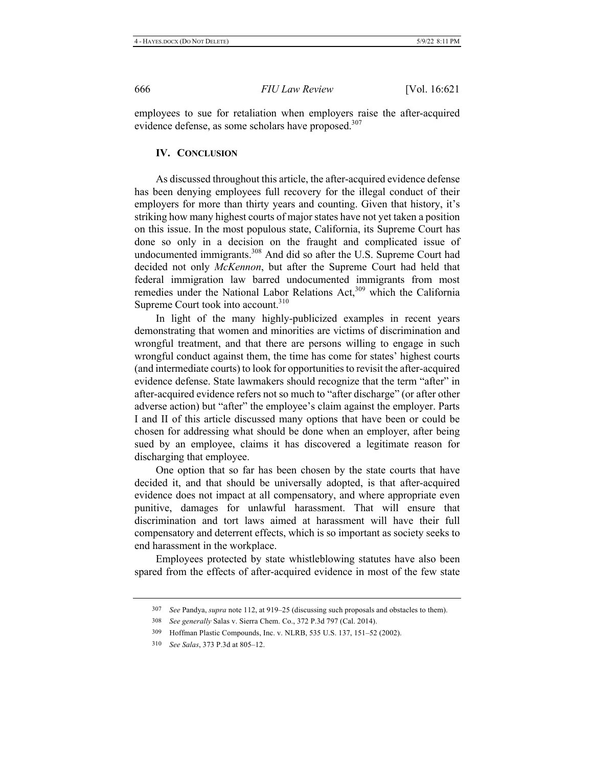employees to sue for retaliation when employers raise the after-acquired evidence defense, as some scholars have proposed.<sup>307</sup>

### **IV. CONCLUSION**

As discussed throughout this article, the after-acquired evidence defense has been denying employees full recovery for the illegal conduct of their employers for more than thirty years and counting. Given that history, it's striking how many highest courts of major states have not yet taken a position on this issue. In the most populous state, California, its Supreme Court has done so only in a decision on the fraught and complicated issue of undocumented immigrants.<sup>308</sup> And did so after the U.S. Supreme Court had decided not only *McKennon*, but after the Supreme Court had held that federal immigration law barred undocumented immigrants from most remedies under the National Labor Relations Act,<sup>309</sup> which the California Supreme Court took into account.<sup>310</sup>

In light of the many highly-publicized examples in recent years demonstrating that women and minorities are victims of discrimination and wrongful treatment, and that there are persons willing to engage in such wrongful conduct against them, the time has come for states' highest courts (and intermediate courts) to look for opportunities to revisit the after-acquired evidence defense. State lawmakers should recognize that the term "after" in after-acquired evidence refers not so much to "after discharge" (or after other adverse action) but "after" the employee's claim against the employer. Parts I and II of this article discussed many options that have been or could be chosen for addressing what should be done when an employer, after being sued by an employee, claims it has discovered a legitimate reason for discharging that employee.

One option that so far has been chosen by the state courts that have decided it, and that should be universally adopted, is that after-acquired evidence does not impact at all compensatory, and where appropriate even punitive, damages for unlawful harassment. That will ensure that discrimination and tort laws aimed at harassment will have their full compensatory and deterrent effects, which is so important as society seeks to end harassment in the workplace.

Employees protected by state whistleblowing statutes have also been spared from the effects of after-acquired evidence in most of the few state

<sup>307</sup> See Pandya, *supra* note 112, at 919–25 (discussing such proposals and obstacles to them).

<sup>308</sup> See generally Salas v. Sierra Chem. Co., 372 P.3d 797 (Cal. 2014).

<sup>309</sup> Hoffman Plastic Compounds, Inc. v. NLRB, 535 U.S. 137, 151-52 (2002).

<sup>310</sup> *See Salas*, 373 P.3d at 805–12.